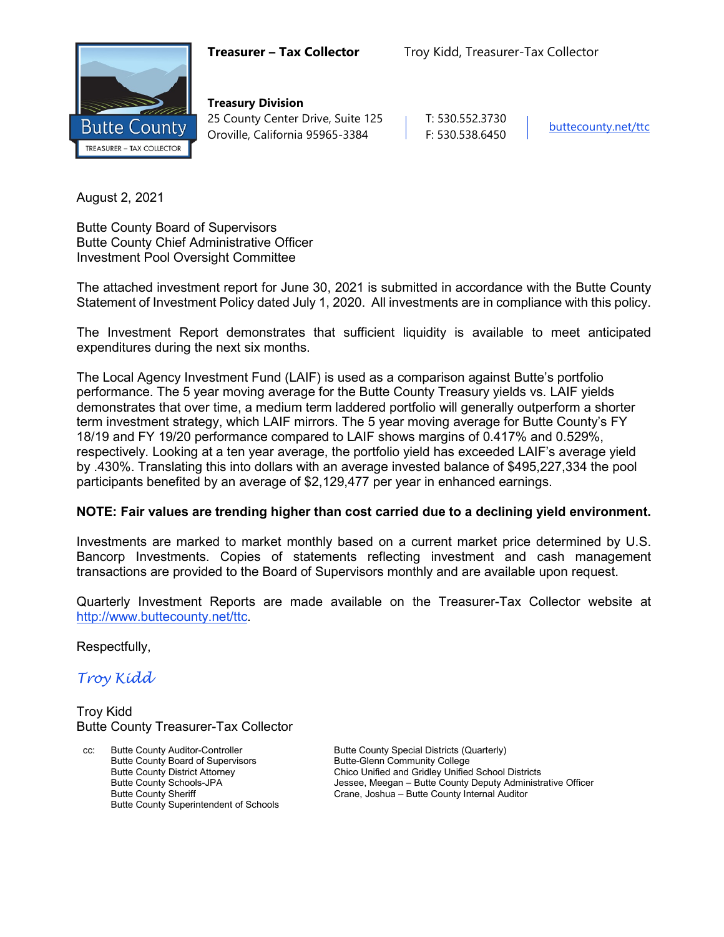

**Treasury Division** 25 County Center Drive, Suite 125 | T: 530.552.3730 Oroville, California 95965-3384 F: 530.538.6450

August 2, 2021

Butte County Board of Supervisors Butte County Chief Administrative Officer Investment Pool Oversight Committee

The attached investment report for June 30, 2021 is submitted in accordance with the Butte County Statement of Investment Policy dated July 1, 2020. All investments are in compliance with this policy.

The Investment Report demonstrates that sufficient liquidity is available to meet anticipated expenditures during the next six months.

The Local Agency Investment Fund (LAIF) is used as a comparison against Butte's portfolio performance. The 5 year moving average for the Butte County Treasury yields vs. LAIF yields demonstrates that over time, a medium term laddered portfolio will generally outperform a shorter term investment strategy, which LAIF mirrors. The 5 year moving average for Butte County's FY 18/19 and FY 19/20 performance compared to LAIF shows margins of 0.417% and 0.529%, respectively. Looking at a ten year average, the portfolio yield has exceeded LAIF's average yield by .430%. Translating this into dollars with an average invested balance of \$495,227,334 the pool participants benefited by an average of \$2,129,477 per year in enhanced earnings.

#### **NOTE: Fair values are trending higher than cost carried due to a declining yield environment.**

Investments are marked to market monthly based on a current market price determined by U.S. Bancorp Investments. Copies of statements reflecting investment and cash management transactions are provided to the Board of Supervisors monthly and are available upon request.

Quarterly Investment Reports are made available on the Treasurer-Tax Collector website at <http://www.buttecounty.net/ttc>.

Respectfully,

*Troy Kidd*

Troy Kidd Butte County Treasurer-Tax Collector

cc: Butte County Auditor-Controller Butte County Special Districts (Quarterly) Butte County Board of Supervisors<br>
Butte County District Attorney<br>
Chico Unified and Gridley Unified Butte County Superintendent of Schools

Chico Unified and Gridley Unified School Districts Butte County Schools-JPA<br>
Butte County Sheriff The County Sheriff County Sheriff and The Crane, Joshua – Butte County Internal Auditor Crane, Joshua – Butte County Internal Auditor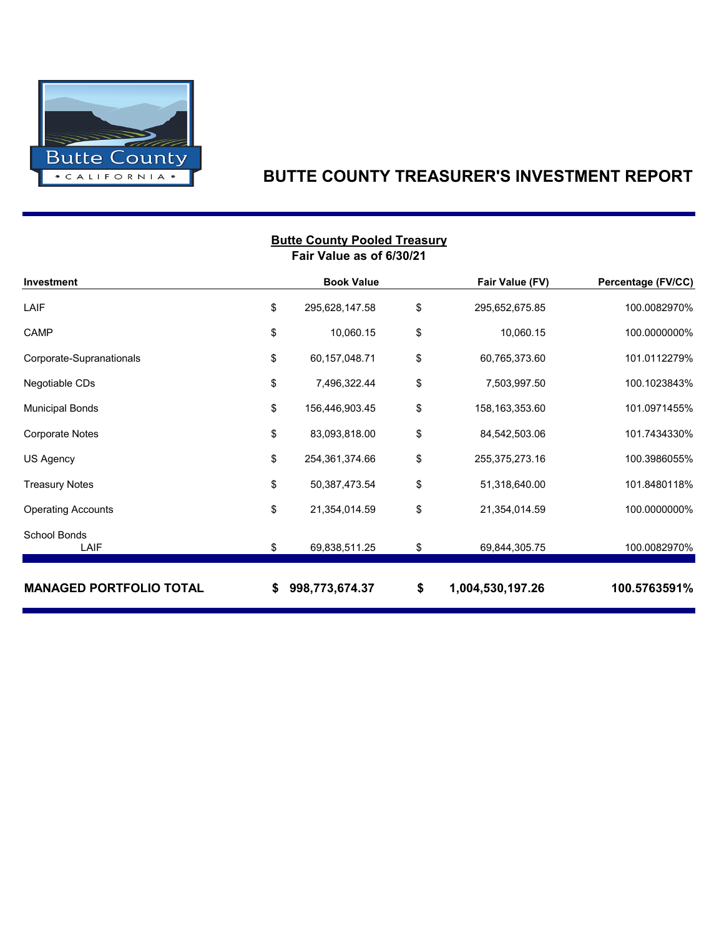

### **BUTTE COUNTY TREASURER'S INVESTMENT REPORT**

|                                | <b>DULLE COULLY FUDIED THEASULY</b><br>Fair Value as of 6/30/21 |                        |                    |
|--------------------------------|-----------------------------------------------------------------|------------------------|--------------------|
| <b>Investment</b>              | <b>Book Value</b>                                               | Fair Value (FV)        | Percentage (FV/CC) |
| LAIF                           | \$<br>295,628,147.58                                            | \$<br>295,652,675.85   | 100.0082970%       |
| CAMP                           | \$<br>10,060.15                                                 | \$<br>10,060.15        | 100.0000000%       |
| Corporate-Supranationals       | \$<br>60,157,048.71                                             | \$<br>60,765,373.60    | 101.0112279%       |
| Negotiable CDs                 | \$<br>7,496,322.44                                              | \$<br>7,503,997.50     | 100.1023843%       |
| <b>Municipal Bonds</b>         | \$<br>156,446,903.45                                            | \$<br>158,163,353.60   | 101.0971455%       |
| <b>Corporate Notes</b>         | \$<br>83,093,818.00                                             | \$<br>84,542,503.06    | 101.7434330%       |
| US Agency                      | \$<br>254,361,374.66                                            | \$<br>255,375,273.16   | 100.3986055%       |
| <b>Treasury Notes</b>          | \$<br>50,387,473.54                                             | \$<br>51,318,640.00    | 101.8480118%       |
| <b>Operating Accounts</b>      | \$<br>21,354,014.59                                             | \$<br>21,354,014.59    | 100.0000000%       |
| School Bonds<br>LAIF           | \$<br>69,838,511.25                                             | \$<br>69,844,305.75    | 100.0082970%       |
| <b>MANAGED PORTFOLIO TOTAL</b> | \$<br>998,773,674.37                                            | \$<br>1,004,530,197.26 | 100.5763591%       |

# **Butte County Pooled Treasury**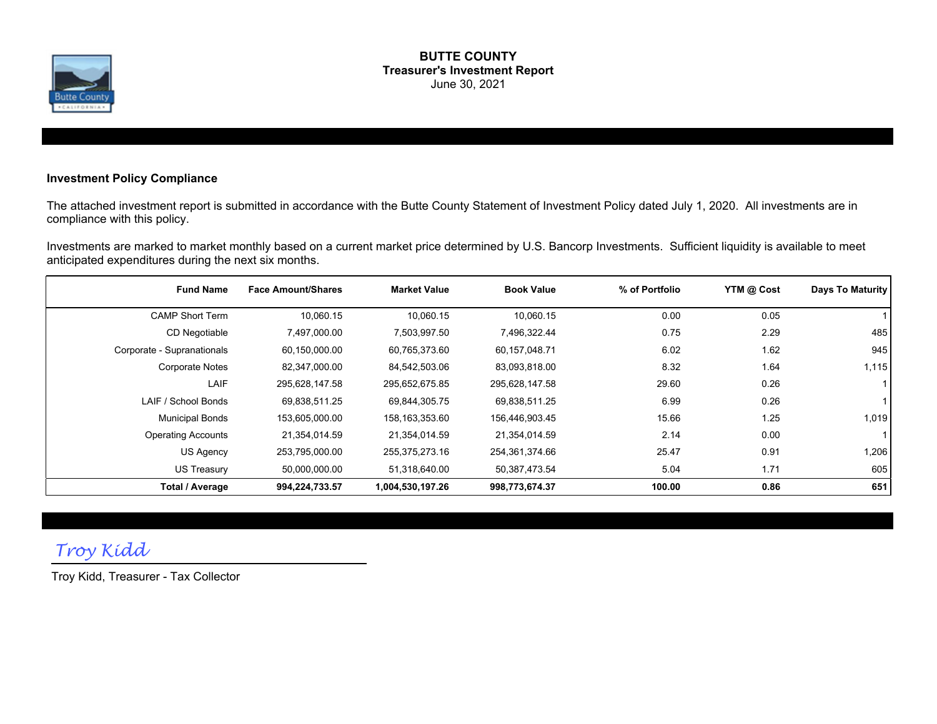

#### **BUTTE COUNTY Treasurer's Investment Report** June 30, 2021

#### **Investment Policy Compliance**

The attached investment report is submitted in accordance with the Butte County Statement of Investment Policy dated July 1, 2020. All investments are in compliance with this policy.

Investments are marked to market monthly based on a current market price determined by U.S. Bancorp Investments. Sufficient liquidity is available to meet anticipated expenditures during the next six months.

| <b>Fund Name</b>           | <b>Face Amount/Shares</b> | <b>Market Value</b> | <b>Book Value</b> | % of Portfolio | YTM @ Cost | Days To Maturity |
|----------------------------|---------------------------|---------------------|-------------------|----------------|------------|------------------|
| <b>CAMP Short Term</b>     | 10,060.15                 | 10,060.15           | 10,060.15         | 0.00           | 0.05       |                  |
| CD Negotiable              | 7,497,000.00              | 7,503,997.50        | 7,496,322.44      | 0.75           | 2.29       | 485              |
| Corporate - Supranationals | 60,150,000.00             | 60,765,373.60       | 60,157,048.71     | 6.02           | 1.62       | 945              |
| <b>Corporate Notes</b>     | 82,347,000.00             | 84,542,503.06       | 83,093,818.00     | 8.32           | 1.64       | 1,115            |
| LAIF                       | 295,628,147.58            | 295,652,675.85      | 295,628,147.58    | 29.60          | 0.26       |                  |
| LAIF / School Bonds        | 69.838,511.25             | 69,844,305.75       | 69,838,511.25     | 6.99           | 0.26       |                  |
| <b>Municipal Bonds</b>     | 153,605,000.00            | 158,163,353.60      | 156,446,903.45    | 15.66          | 1.25       | 1,019            |
| <b>Operating Accounts</b>  | 21,354,014.59             | 21,354,014.59       | 21,354,014.59     | 2.14           | 0.00       |                  |
| US Agency                  | 253,795,000.00            | 255,375,273.16      | 254,361,374.66    | 25.47          | 0.91       | 1,206            |
| US Treasury                | 50,000,000.00             | 51,318,640.00       | 50,387,473.54     | 5.04           | 1.71       | 605              |
| Total / Average            | 994,224,733.57            | 1,004,530,197.26    | 998,773,674.37    | 100.00         | 0.86       | 651              |

## *Troy Kidd*

Troy Kidd, Treasurer - Tax Collector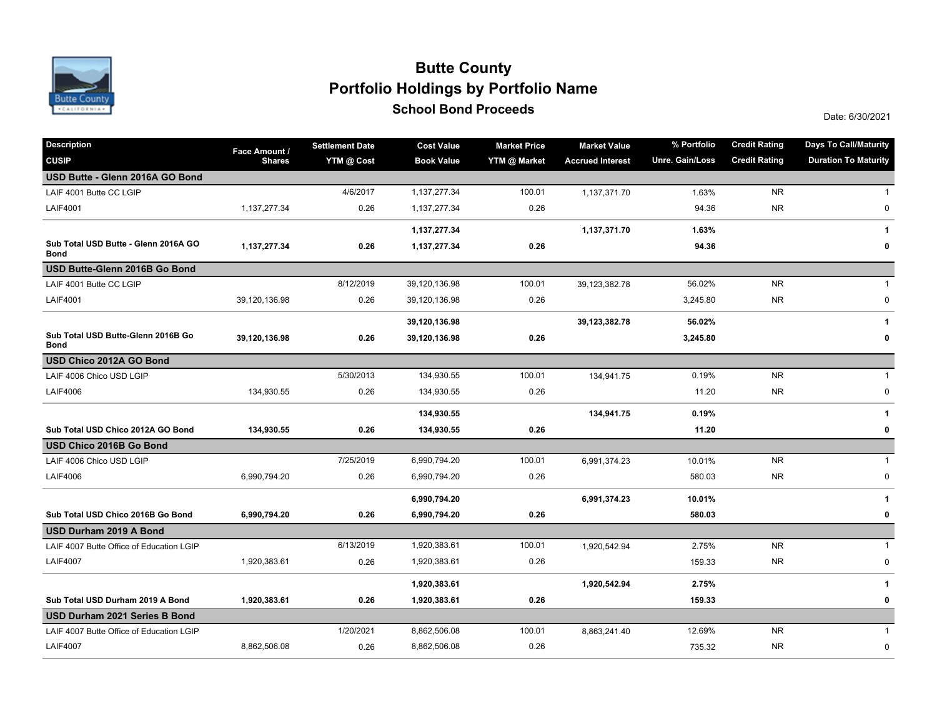

### **School Bond Proceeds School Bond Proceeds Portfolio Holdings by Portfolio Name Butte County**

| <b>Description</b>                                  | Face Amount / | <b>Settlement Date</b> | <b>Cost Value</b> | <b>Market Price</b> | <b>Market Value</b>     | % Portfolio     | <b>Credit Rating</b> | <b>Days To Call/Maturity</b> |
|-----------------------------------------------------|---------------|------------------------|-------------------|---------------------|-------------------------|-----------------|----------------------|------------------------------|
| <b>CUSIP</b>                                        | <b>Shares</b> | YTM @ Cost             | <b>Book Value</b> | YTM @ Market        | <b>Accrued Interest</b> | Unre. Gain/Loss | <b>Credit Rating</b> | <b>Duration To Maturity</b>  |
| USD Butte - Glenn 2016A GO Bond                     |               |                        |                   |                     |                         |                 |                      |                              |
| LAIF 4001 Butte CC LGIP                             |               | 4/6/2017               | 1,137,277.34      | 100.01              | 1,137,371.70            | 1.63%           | <b>NR</b>            | 1                            |
| <b>LAIF4001</b>                                     | 1,137,277.34  | 0.26                   | 1,137,277.34      | 0.26                |                         | 94.36           | <b>NR</b>            | 0                            |
|                                                     |               |                        | 1,137,277.34      |                     | 1,137,371.70            | 1.63%           |                      | 1                            |
| Sub Total USD Butte - Glenn 2016A GO<br><b>Bond</b> | 1,137,277.34  | 0.26                   | 1,137,277.34      | 0.26                |                         | 94.36           |                      | 0                            |
| USD Butte-Glenn 2016B Go Bond                       |               |                        |                   |                     |                         |                 |                      |                              |
| LAIF 4001 Butte CC LGIP                             |               | 8/12/2019              | 39,120,136.98     | 100.01              | 39,123,382.78           | 56.02%          | <b>NR</b>            | $\mathbf{1}$                 |
| <b>LAIF4001</b>                                     | 39,120,136.98 | 0.26                   | 39,120,136.98     | 0.26                |                         | 3,245.80        | <b>NR</b>            | 0                            |
|                                                     |               |                        | 39,120,136.98     |                     | 39,123,382.78           | 56.02%          |                      | 1                            |
| Sub Total USD Butte-Glenn 2016B Go<br><b>Bond</b>   | 39,120,136.98 | 0.26                   | 39,120,136.98     | 0.26                |                         | 3,245.80        |                      | 0                            |
| USD Chico 2012A GO Bond                             |               |                        |                   |                     |                         |                 |                      |                              |
| LAIF 4006 Chico USD LGIP                            |               | 5/30/2013              | 134,930.55        | 100.01              | 134,941.75              | 0.19%           | <b>NR</b>            | $\mathbf{1}$                 |
| <b>LAIF4006</b>                                     | 134,930.55    | 0.26                   | 134,930.55        | 0.26                |                         | 11.20           | <b>NR</b>            | 0                            |
|                                                     |               |                        | 134,930.55        |                     | 134,941.75              | 0.19%           |                      | 1                            |
| Sub Total USD Chico 2012A GO Bond                   | 134,930.55    | 0.26                   | 134,930.55        | 0.26                |                         | 11.20           |                      | 0                            |
| USD Chico 2016B Go Bond                             |               |                        |                   |                     |                         |                 |                      |                              |
| LAIF 4006 Chico USD LGIP                            |               | 7/25/2019              | 6,990,794.20      | 100.01              | 6,991,374.23            | 10.01%          | <b>NR</b>            | $\mathbf{1}$                 |
| <b>LAIF4006</b>                                     | 6,990,794.20  | 0.26                   | 6,990,794.20      | 0.26                |                         | 580.03          | <b>NR</b>            | $\pmb{0}$                    |
|                                                     |               |                        | 6,990,794.20      |                     | 6,991,374.23            | 10.01%          |                      | 1                            |
| Sub Total USD Chico 2016B Go Bond                   | 6,990,794.20  | 0.26                   | 6,990,794.20      | 0.26                |                         | 580.03          |                      | 0                            |
| USD Durham 2019 A Bond                              |               |                        |                   |                     |                         |                 |                      |                              |
| LAIF 4007 Butte Office of Education LGIP            |               | 6/13/2019              | 1,920,383.61      | 100.01              | 1,920,542.94            | 2.75%           | <b>NR</b>            | $\mathbf{1}$                 |
| <b>LAIF4007</b>                                     | 1,920,383.61  | 0.26                   | 1,920,383.61      | 0.26                |                         | 159.33          | <b>NR</b>            | 0                            |
|                                                     |               |                        | 1,920,383.61      |                     | 1,920,542.94            | 2.75%           |                      | 1                            |
| Sub Total USD Durham 2019 A Bond                    | 1,920,383.61  | 0.26                   | 1,920,383.61      | 0.26                |                         | 159.33          |                      | 0                            |
| USD Durham 2021 Series B Bond                       |               |                        |                   |                     |                         |                 |                      |                              |
| LAIF 4007 Butte Office of Education LGIP            |               | 1/20/2021              | 8,862,506.08      | 100.01              | 8,863,241.40            | 12.69%          | <b>NR</b>            | $\mathbf{1}$                 |
| <b>LAIF4007</b>                                     | 8,862,506.08  | 0.26                   | 8,862,506.08      | 0.26                |                         | 735.32          | <b>NR</b>            | 0                            |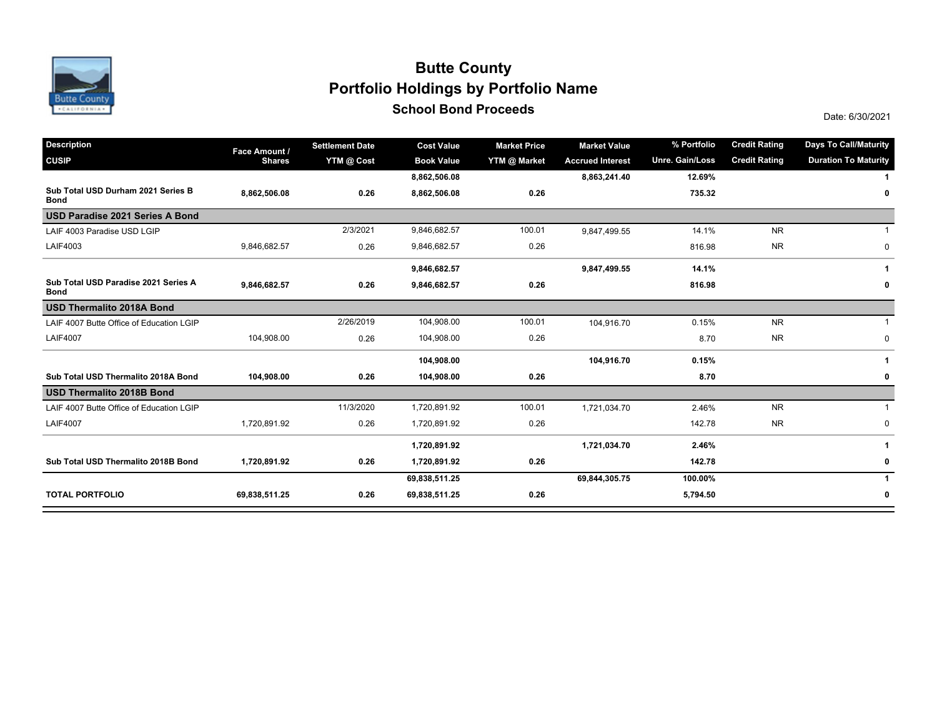

### **School Bond Proceeds School Bond Proceeds Portfolio Holdings by Portfolio Name Butte County**

| <b>Description</b>                                  | Face Amount / | <b>Settlement Date</b> | <b>Cost Value</b> | <b>Market Price</b> | <b>Market Value</b>     | % Portfolio     | <b>Credit Rating</b> | <b>Days To Call/Maturity</b> |
|-----------------------------------------------------|---------------|------------------------|-------------------|---------------------|-------------------------|-----------------|----------------------|------------------------------|
| <b>CUSIP</b>                                        | <b>Shares</b> | YTM @ Cost             | <b>Book Value</b> | YTM @ Market        | <b>Accrued Interest</b> | Unre. Gain/Loss | <b>Credit Rating</b> | <b>Duration To Maturity</b>  |
|                                                     |               |                        | 8,862,506.08      |                     | 8,863,241.40            | 12.69%          |                      |                              |
| Sub Total USD Durham 2021 Series B<br><b>Bond</b>   | 8,862,506.08  | 0.26                   | 8,862,506.08      | 0.26                |                         | 735.32          |                      | 0                            |
| USD Paradise 2021 Series A Bond                     |               |                        |                   |                     |                         |                 |                      |                              |
| LAIF 4003 Paradise USD LGIP                         |               | 2/3/2021               | 9,846,682.57      | 100.01              | 9,847,499.55            | 14.1%           | <b>NR</b>            |                              |
| LAIF4003                                            | 9,846,682.57  | 0.26                   | 9,846,682.57      | 0.26                |                         | 816.98          | <b>NR</b>            | 0                            |
|                                                     |               |                        | 9,846,682.57      |                     | 9,847,499.55            | 14.1%           |                      | -1                           |
| Sub Total USD Paradise 2021 Series A<br><b>Bond</b> | 9,846,682.57  | 0.26                   | 9,846,682.57      | 0.26                |                         | 816.98          |                      | 0                            |
| <b>USD Thermalito 2018A Bond</b>                    |               |                        |                   |                     |                         |                 |                      |                              |
| LAIF 4007 Butte Office of Education LGIP            |               | 2/26/2019              | 104,908.00        | 100.01              | 104,916.70              | 0.15%           | <b>NR</b>            |                              |
| <b>LAIF4007</b>                                     | 104,908.00    | 0.26                   | 104,908.00        | 0.26                |                         | 8.70            | <b>NR</b>            | $\mathbf 0$                  |
|                                                     |               |                        | 104,908.00        |                     | 104,916.70              | 0.15%           |                      | 1                            |
| Sub Total USD Thermalito 2018A Bond                 | 104,908.00    | 0.26                   | 104,908.00        | 0.26                |                         | 8.70            |                      | 0                            |
| <b>USD Thermalito 2018B Bond</b>                    |               |                        |                   |                     |                         |                 |                      |                              |
| LAIF 4007 Butte Office of Education LGIP            |               | 11/3/2020              | 1,720,891.92      | 100.01              | 1,721,034.70            | 2.46%           | <b>NR</b>            |                              |
| <b>LAIF4007</b>                                     | 1,720,891.92  | 0.26                   | 1,720,891.92      | 0.26                |                         | 142.78          | <b>NR</b>            | 0                            |
|                                                     |               |                        | 1,720,891.92      |                     | 1,721,034.70            | 2.46%           |                      |                              |
| Sub Total USD Thermalito 2018B Bond                 | 1,720,891.92  | 0.26                   | 1,720,891.92      | 0.26                |                         | 142.78          |                      | 0                            |
|                                                     |               |                        | 69,838,511.25     |                     | 69,844,305.75           | 100.00%         |                      | 1                            |
| <b>TOTAL PORTFOLIO</b>                              | 69,838,511.25 | 0.26                   | 69,838,511.25     | 0.26                |                         | 5,794.50        |                      | 0                            |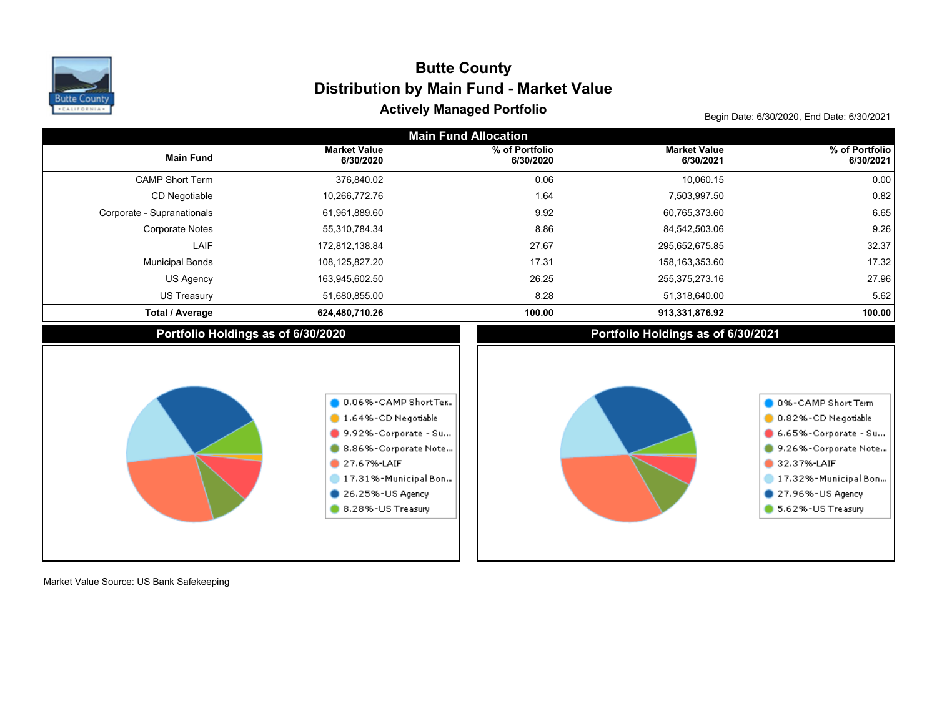

### Begin Date: 6/30/2020, End Date: 6/30/2021 **Actively Managed Portfolio Distribution by Main Fund - Market Value Butte County**

| <b>Main Fund Allocation</b>        |                                                                                                                                                                            |                             |                                    |                                                                                                                                                                             |  |  |  |  |  |
|------------------------------------|----------------------------------------------------------------------------------------------------------------------------------------------------------------------------|-----------------------------|------------------------------------|-----------------------------------------------------------------------------------------------------------------------------------------------------------------------------|--|--|--|--|--|
| <b>Main Fund</b>                   | <b>Market Value</b><br>6/30/2020                                                                                                                                           | % of Portfolio<br>6/30/2020 | <b>Market Value</b><br>6/30/2021   | % of Portfolio<br>6/30/2021                                                                                                                                                 |  |  |  |  |  |
| <b>CAMP Short Term</b>             | 376,840.02                                                                                                                                                                 | 0.06                        | 10,060.15                          | 0.00                                                                                                                                                                        |  |  |  |  |  |
| CD Negotiable                      | 10,266,772.76                                                                                                                                                              | 1.64                        | 7,503,997.50                       | 0.82                                                                                                                                                                        |  |  |  |  |  |
| Corporate - Supranationals         | 61,961,889.60                                                                                                                                                              | 9.92                        | 60,765,373.60                      | 6.65                                                                                                                                                                        |  |  |  |  |  |
| <b>Corporate Notes</b>             | 55,310,784.34                                                                                                                                                              | 8.86                        | 84,542,503.06                      | 9.26                                                                                                                                                                        |  |  |  |  |  |
| LAIF                               | 172,812,138.84                                                                                                                                                             | 27.67                       | 295,652,675.85                     | 32.37                                                                                                                                                                       |  |  |  |  |  |
| <b>Municipal Bonds</b>             | 108,125,827.20                                                                                                                                                             | 17.31                       | 158, 163, 353.60                   | 17.32                                                                                                                                                                       |  |  |  |  |  |
| <b>US Agency</b>                   | 163,945,602.50                                                                                                                                                             | 26.25                       | 255,375,273.16                     | 27.96                                                                                                                                                                       |  |  |  |  |  |
| <b>US Treasury</b>                 | 51,680,855.00                                                                                                                                                              | 8.28                        | 51,318,640.00                      | 5.62                                                                                                                                                                        |  |  |  |  |  |
| <b>Total / Average</b>             | 624,480,710.26                                                                                                                                                             | 100.00                      | 913,331,876.92                     | 100.00                                                                                                                                                                      |  |  |  |  |  |
| Portfolio Holdings as of 6/30/2020 |                                                                                                                                                                            |                             | Portfolio Holdings as of 6/30/2021 |                                                                                                                                                                             |  |  |  |  |  |
|                                    | 0.06%-CAMP ShortTer<br>1.64%-CD Negotiable<br>9.92%-Corporate - Su<br>8.86%-Corporate Note<br>27.67%-LAIF<br>17.31%-Municipal Bon<br>26.25%-US Agency<br>8.28%-US Treasury |                             |                                    | 0 0%-CAMP Short Term<br>0.82%-CD Negotiable<br>6.65%-Corporate - Su<br>9.26%-Corporate Note<br>32.37%-LAIF<br>17.32%-Municipal Bon<br>27.96%-US Agency<br>5.62%-US Treasury |  |  |  |  |  |

Market Value Source: US Bank Safekeeping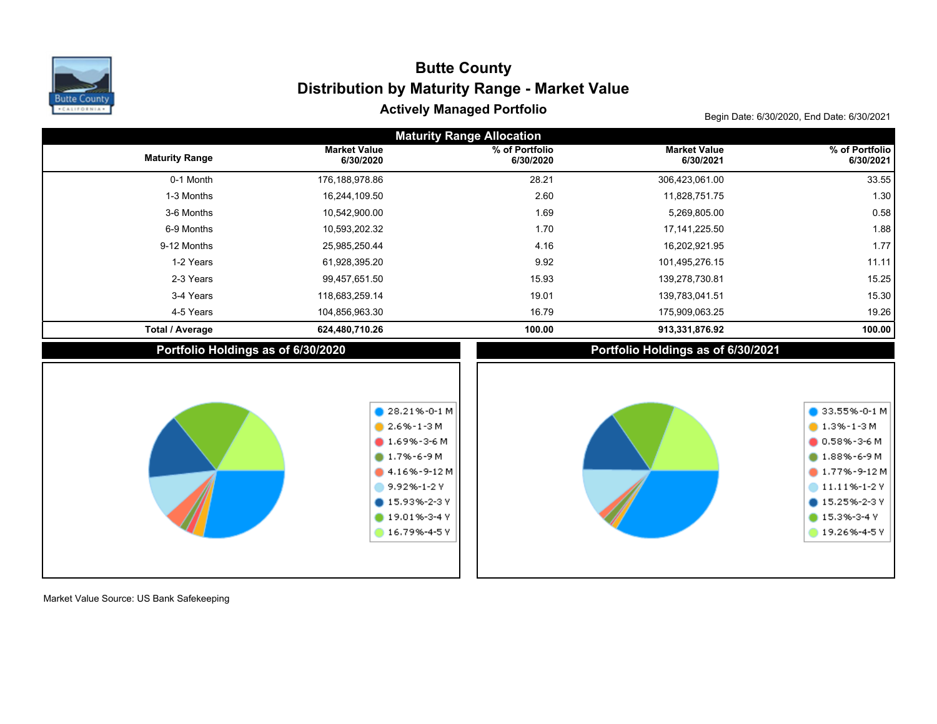

### Begin Date: 6/30/2020, End Date: 6/30/2021 **Actively Managed Portfolio Distribution by Maturity Range - Market Value Butte County**

| <b>Maturity Range Allocation</b>   |                                                                                                                                                                                     |                             |                                    |                                                                                                                                                                             |  |  |  |  |  |  |
|------------------------------------|-------------------------------------------------------------------------------------------------------------------------------------------------------------------------------------|-----------------------------|------------------------------------|-----------------------------------------------------------------------------------------------------------------------------------------------------------------------------|--|--|--|--|--|--|
| <b>Maturity Range</b>              | <b>Market Value</b><br>6/30/2020                                                                                                                                                    | % of Portfolio<br>6/30/2020 | <b>Market Value</b><br>6/30/2021   | % of Portfolio<br>6/30/2021                                                                                                                                                 |  |  |  |  |  |  |
| 0-1 Month                          | 176,188,978.86                                                                                                                                                                      | 28.21                       | 306,423,061.00                     | 33.55                                                                                                                                                                       |  |  |  |  |  |  |
| 1-3 Months                         | 16,244,109.50                                                                                                                                                                       | 2.60                        | 11,828,751.75                      | 1.30                                                                                                                                                                        |  |  |  |  |  |  |
| 3-6 Months                         | 10,542,900.00                                                                                                                                                                       | 1.69                        | 5,269,805.00                       | 0.58                                                                                                                                                                        |  |  |  |  |  |  |
| 6-9 Months                         | 10,593,202.32                                                                                                                                                                       | 1.70                        | 17, 141, 225.50                    | 1.88                                                                                                                                                                        |  |  |  |  |  |  |
| 9-12 Months                        | 25,985,250.44                                                                                                                                                                       | 4.16                        | 16,202,921.95                      | 1.77                                                                                                                                                                        |  |  |  |  |  |  |
| 1-2 Years                          | 61,928,395.20                                                                                                                                                                       | 9.92                        | 101,495,276.15                     | 11.11                                                                                                                                                                       |  |  |  |  |  |  |
| 2-3 Years                          | 99,457,651.50                                                                                                                                                                       | 15.93                       | 139,278,730.81                     | 15.25                                                                                                                                                                       |  |  |  |  |  |  |
| 3-4 Years                          | 118,683,259.14                                                                                                                                                                      | 19.01                       | 139,783,041.51                     | 15.30                                                                                                                                                                       |  |  |  |  |  |  |
| 4-5 Years                          | 104,856,963.30                                                                                                                                                                      | 16.79                       | 175,909,063.25                     | 19.26                                                                                                                                                                       |  |  |  |  |  |  |
| <b>Total / Average</b>             | 624,480,710.26                                                                                                                                                                      | 100.00                      | 913,331,876.92                     | 100.00                                                                                                                                                                      |  |  |  |  |  |  |
| Portfolio Holdings as of 6/30/2020 |                                                                                                                                                                                     |                             | Portfolio Holdings as of 6/30/2021 |                                                                                                                                                                             |  |  |  |  |  |  |
|                                    | $28.21\% - 0 - 1$ M<br>$2.6\% - 1 - 3$ M<br>$0.69\% - 3 - 6$ M<br>$0.17% - 6 - 9M$<br>$4.16% - 9-12M$<br>9.92%-1-2Y<br>$\bullet$ 15.93%-2-3 Y<br>$19.01\% - 3 - 4$ Y<br>16.79%-4-5Y |                             |                                    | $\bullet$ 33.55%-0-1 M<br>$1.3\% - 1 - 3M$<br>$0.58\% - 3 - 6M$<br>$0.88\% - 6 - 9 M$<br>$1.77% - 9 - 12M$<br>11.11%-1-2Y<br>15.25%-2-3Y<br>$15.3% - 3 - 4V$<br>19.26%-4-5Y |  |  |  |  |  |  |

Market Value Source: US Bank Safekeeping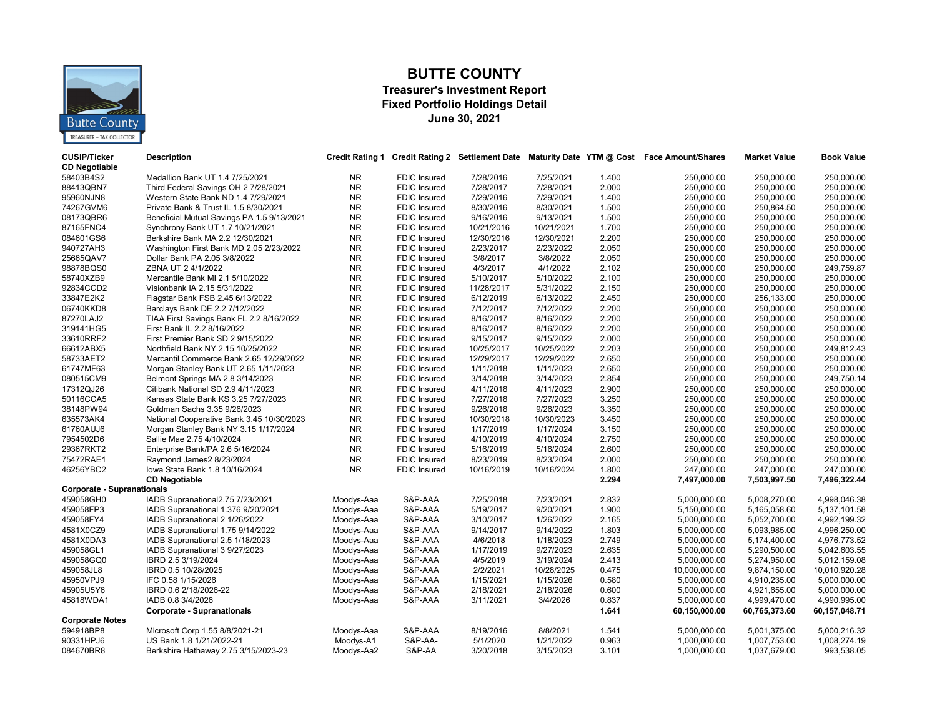

#### **BUTTE COUNTY**

#### **Treasurer's Investment Report Fixed Portfolio Holdings Detail June 30, 2021**

| <b>CUSIP/Ticker</b><br><b>CD Negotiable</b> | <b>Description</b>                         | <b>Credit Rating 1</b> |                     |            |            |       | Credit Rating 2 Settlement Date Maturity Date YTM @ Cost Face Amount/Shares | <b>Market Value</b> | <b>Book Value</b> |
|---------------------------------------------|--------------------------------------------|------------------------|---------------------|------------|------------|-------|-----------------------------------------------------------------------------|---------------------|-------------------|
| 58403B4S2                                   | Medallion Bank UT 1.4 7/25/2021            | NR.                    | <b>FDIC Insured</b> | 7/28/2016  | 7/25/2021  | 1.400 | 250,000.00                                                                  | 250,000.00          | 250,000.00        |
| 88413QBN7                                   | Third Federal Savings OH 2 7/28/2021       | <b>NR</b>              | <b>FDIC Insured</b> | 7/28/2017  | 7/28/2021  | 2.000 | 250,000.00                                                                  | 250,000.00          | 250,000.00        |
| 95960NJN8                                   | Western State Bank ND 1.4 7/29/2021        | NR.                    | <b>FDIC Insured</b> | 7/29/2016  | 7/29/2021  | 1.400 | 250,000.00                                                                  | 250,000.00          | 250,000.00        |
| 74267GVM6                                   | Private Bank & Trust IL 1.5 8/30/2021      | NR.                    | FDIC Insured        | 8/30/2016  | 8/30/2021  | 1.500 | 250,000.00                                                                  | 250,864.50          | 250,000.00        |
| 08173QBR6                                   | Beneficial Mutual Savings PA 1.5 9/13/2021 | NR.                    | FDIC Insured        | 9/16/2016  | 9/13/2021  | 1.500 | 250,000.00                                                                  | 250,000.00          | 250,000.00        |
| 87165FNC4                                   | Synchrony Bank UT 1.7 10/21/2021           | NR.                    | FDIC Insured        | 10/21/2016 | 10/21/2021 | 1.700 | 250,000.00                                                                  | 250,000.00          | 250,000.00        |
| 084601GS6                                   | Berkshire Bank MA 2.2 12/30/2021           | NR.                    | <b>FDIC Insured</b> | 12/30/2016 | 12/30/2021 | 2.200 | 250,000.00                                                                  | 250,000.00          | 250,000.00        |
| 940727AH3                                   | Washington First Bank MD 2.05 2/23/2022    | NR.                    | <b>FDIC Insured</b> | 2/23/2017  | 2/23/2022  | 2.050 | 250,000.00                                                                  | 250,000.00          | 250,000.00        |
| 25665QAV7                                   | Dollar Bank PA 2.05 3/8/2022               | NR.                    | FDIC Insured        | 3/8/2017   | 3/8/2022   | 2.050 | 250,000.00                                                                  | 250,000.00          | 250,000.00        |
| 98878BQS0                                   | ZBNA UT 2 4/1/2022                         | N <sub>R</sub>         | FDIC Insured        | 4/3/2017   | 4/1/2022   | 2.102 | 250,000.00                                                                  | 250,000.00          | 249,759.87        |
| 58740XZB9                                   | Mercantile Bank MI 2.1 5/10/2022           | NR.                    | <b>FDIC Insured</b> | 5/10/2017  | 5/10/2022  | 2.100 | 250,000.00                                                                  | 250,000.00          | 250,000.00        |
| 92834CCD2                                   | Visionbank IA 2.15 5/31/2022               | NR.                    | <b>FDIC Insured</b> | 11/28/2017 | 5/31/2022  | 2.150 | 250,000.00                                                                  | 250,000.00          | 250,000.00        |
| 33847E2K2                                   | Flagstar Bank FSB 2.45 6/13/2022           | NR.                    | FDIC Insured        | 6/12/2019  | 6/13/2022  | 2.450 | 250,000.00                                                                  | 256,133.00          | 250,000.00        |
| 06740KKD8                                   | Barclays Bank DE 2.2 7/12/2022             | N <sub>R</sub>         | <b>FDIC Insured</b> | 7/12/2017  | 7/12/2022  | 2.200 | 250.000.00                                                                  | 250.000.00          | 250.000.00        |
| 87270LAJ2                                   | TIAA First Savings Bank FL 2.2 8/16/2022   | NR.                    | <b>FDIC</b> Insured | 8/16/2017  | 8/16/2022  | 2.200 | 250,000.00                                                                  | 250,000.00          | 250,000.00        |
| 319141HG5                                   | First Bank IL 2.2 8/16/2022                | <b>NR</b>              | <b>FDIC Insured</b> | 8/16/2017  | 8/16/2022  | 2.200 | 250,000.00                                                                  | 250,000.00          | 250,000.00        |
| 33610RRF2                                   | First Premier Bank SD 2 9/15/2022          | N <sub>R</sub>         | <b>FDIC</b> Insured | 9/15/2017  | 9/15/2022  | 2.000 | 250,000.00                                                                  | 250,000.00          | 250,000.00        |
| 66612ABX5                                   | Northfield Bank NY 2.15 10/25/2022         | <b>NR</b>              | FDIC Insured        | 10/25/2017 | 10/25/2022 | 2.203 | 250,000.00                                                                  | 250,000.00          | 249,812.43        |
| 58733AET2                                   | Mercantil Commerce Bank 2.65 12/29/2022    | <b>NR</b>              | FDIC Insured        | 12/29/2017 | 12/29/2022 | 2.650 | 250,000.00                                                                  | 250,000.00          | 250,000.00        |
| 61747MF63                                   | Morgan Stanley Bank UT 2.65 1/11/2023      | <b>NR</b>              | FDIC Insured        | 1/11/2018  | 1/11/2023  | 2.650 | 250,000.00                                                                  | 250,000.00          | 250,000.00        |
| 080515CM9                                   | Belmont Springs MA 2.8 3/14/2023           | <b>NR</b>              | <b>FDIC Insured</b> | 3/14/2018  | 3/14/2023  | 2.854 | 250,000.00                                                                  | 250,000.00          | 249,750.14        |
| 17312QJ26                                   | Citibank National SD 2.9 4/11/2023         | NR.                    | <b>FDIC Insured</b> | 4/11/2018  | 4/11/2023  | 2.900 | 250,000.00                                                                  | 250,000.00          | 250,000.00        |
| 50116CCA5                                   | Kansas State Bank KS 3.25 7/27/2023        | NR.                    | FDIC Insured        | 7/27/2018  | 7/27/2023  | 3.250 | 250,000.00                                                                  | 250,000.00          | 250,000.00        |
| 38148PW94                                   | Goldman Sachs 3.35 9/26/2023               | NR.                    | FDIC Insured        | 9/26/2018  | 9/26/2023  | 3.350 | 250,000.00                                                                  | 250,000.00          | 250,000.00        |
| 635573AK4                                   | National Cooperative Bank 3.45 10/30/2023  | NR.                    | <b>FDIC Insured</b> | 10/30/2018 | 10/30/2023 | 3.450 | 250,000.00                                                                  | 250,000.00          | 250,000.00        |
| 61760AUJ6                                   | Morgan Stanley Bank NY 3.15 1/17/2024      | NR.                    | <b>FDIC Insured</b> | 1/17/2019  | 1/17/2024  | 3.150 | 250,000.00                                                                  | 250,000.00          | 250,000.00        |
| 7954502D6                                   | Sallie Mae 2.75 4/10/2024                  | NR.                    | <b>FDIC Insured</b> | 4/10/2019  | 4/10/2024  | 2.750 | 250,000.00                                                                  | 250,000.00          | 250,000.00        |
| 29367RKT2                                   | Enterprise Bank/PA 2.6 5/16/2024           | N <sub>R</sub>         | FDIC Insured        | 5/16/2019  | 5/16/2024  | 2.600 | 250,000.00                                                                  | 250,000.00          | 250,000.00        |
| 75472RAE1                                   | Raymond James2 8/23/2024                   | NR.                    | <b>FDIC Insured</b> | 8/23/2019  | 8/23/2024  | 2.000 | 250,000.00                                                                  | 250,000.00          | 250,000.00        |
| 46256YBC2                                   | lowa State Bank 1.8 10/16/2024             | N <sub>R</sub>         | <b>FDIC Insured</b> | 10/16/2019 | 10/16/2024 | 1.800 | 247,000.00                                                                  | 247,000.00          | 247,000.00        |
|                                             | <b>CD Negotiable</b>                       |                        |                     |            |            | 2.294 | 7,497,000.00                                                                | 7,503,997.50        | 7,496,322.44      |
| <b>Corporate - Supranationals</b>           |                                            |                        |                     |            |            |       |                                                                             |                     |                   |
| 459058GH0                                   | IADB Supranational2.75 7/23/2021           | Moodys-Aaa             | S&P-AAA             | 7/25/2018  | 7/23/2021  | 2.832 | 5,000,000.00                                                                | 5,008,270.00        | 4,998,046.38      |
| 459058FP3                                   | IADB Supranational 1.376 9/20/2021         | Moodys-Aaa             | S&P-AAA             | 5/19/2017  | 9/20/2021  | 1.900 | 5,150,000.00                                                                | 5,165,058.60        | 5,137,101.58      |
| 459058FY4                                   | IADB Supranational 2 1/26/2022             | Moodys-Aaa             | S&P-AAA             | 3/10/2017  | 1/26/2022  | 2.165 | 5,000,000.00                                                                | 5,052,700.00        | 4,992,199.32      |
| 4581X0CZ9                                   | IADB Supranational 1.75 9/14/2022          | Moodys-Aaa             | S&P-AAA             | 9/14/2017  | 9/14/2022  | 1.803 | 5,000,000.00                                                                | 5,093,985.00        | 4,996,250.00      |
| 4581X0DA3                                   | IADB Supranational 2.5 1/18/2023           | Moodys-Aaa             | S&P-AAA             | 4/6/2018   | 1/18/2023  | 2.749 | 5,000,000.00                                                                | 5,174,400.00        | 4,976,773.52      |
| 459058GL1                                   | IADB Supranational 3 9/27/2023             | Moodys-Aaa             | S&P-AAA             | 1/17/2019  | 9/27/2023  | 2.635 | 5,000,000.00                                                                | 5,290,500.00        | 5,042,603.55      |
| 459058GQ0                                   | IBRD 2.5 3/19/2024                         | Moodys-Aaa             | S&P-AAA             | 4/5/2019   | 3/19/2024  | 2.413 | 5,000,000.00                                                                | 5,274,950.00        | 5,012,159.08      |
| 459058JL8                                   | IBRD 0.5 10/28/2025                        | Moodys-Aaa             | S&P-AAA             | 2/2/2021   | 10/28/2025 | 0.475 | 10,000,000.00                                                               | 9,874,150.00        | 10,010,920.28     |
| 45950VPJ9                                   | IFC 0.58 1/15/2026                         | Moodys-Aaa             | S&P-AAA             | 1/15/2021  | 1/15/2026  | 0.580 | 5,000,000.00                                                                | 4,910,235.00        | 5,000,000.00      |
| 45905U5Y6                                   | IBRD 0.6 2/18/2026-22                      | Moodys-Aaa             | S&P-AAA             | 2/18/2021  | 2/18/2026  | 0.600 | 5,000,000.00                                                                | 4,921,655.00        | 5,000,000.00      |
| 45818WDA1                                   | IADB 0.8 3/4/2026                          | Moodys-Aaa             | S&P-AAA             | 3/11/2021  | 3/4/2026   | 0.837 | 5,000,000.00                                                                | 4,999,470.00        | 4,990,995.00      |
|                                             | <b>Corporate - Supranationals</b>          |                        |                     |            |            | 1.641 | 60,150,000.00                                                               | 60,765,373.60       | 60,157,048.71     |
| <b>Corporate Notes</b>                      |                                            |                        |                     |            |            |       |                                                                             |                     |                   |
| 594918BP8                                   | Microsoft Corp 1.55 8/8/2021-21            | Moodys-Aaa             | S&P-AAA             | 8/19/2016  | 8/8/2021   | 1.541 | 5,000,000.00                                                                | 5,001,375.00        | 5,000,216.32      |
| 90331HPJ6                                   | US Bank 1.8 1/21/2022-21                   | Moodys-A1              | S&P-AA-             | 5/1/2020   | 1/21/2022  | 0.963 | 1,000,000.00                                                                | 1,007,753.00        | 1,008,274.19      |
| 084670BR8                                   | Berkshire Hathaway 2.75 3/15/2023-23       | Moodys-Aa2             | S&P-AA              | 3/20/2018  | 3/15/2023  | 3.101 | 1,000,000.00                                                                | 1,037,679.00        | 993,538.05        |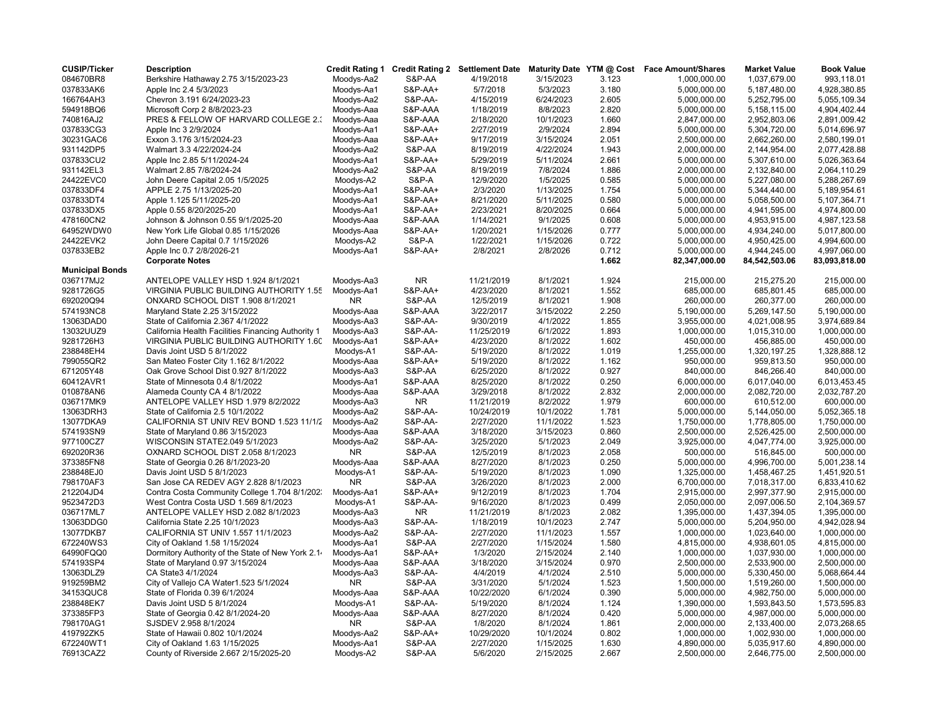| 084670BR8<br>S&P-AA<br>3/15/2023<br>3.123<br>Berkshire Hathaway 2.75 3/15/2023-23<br>Moodys-Aa2<br>4/19/2018<br>1,000,000.00<br>1,037,679.00<br>Moodys-Aa1<br><b>S&amp;P-AA+</b><br>5/3/2023<br>3.180<br>037833AK6<br>Apple Inc 2.4 5/3/2023<br>5/7/2018<br>5,000,000.00<br>5.187.480.00<br>Chevron 3.191 6/24/2023-23<br>Moodys-Aa2<br>S&P-AA-<br>4/15/2019<br>6/24/2023<br>2.605<br>5,000,000.00<br>5,252,795.00<br>166764AH3<br>2.820<br>594918BQ6<br>Microsoft Corp 2 8/8/2023-23<br>Moodys-Aaa<br>S&P-AAA<br>1/18/2019<br>8/8/2023<br>5,000,000.00<br>5,158,115.00<br>1.660<br>PRES & FELLOW OF HARVARD COLLEGE 2.3<br>S&P-AAA<br>2/18/2020<br>10/1/2023<br>2,847,000.00<br>2,952,803.06<br>740816AJ2<br>Moodys-Aaa<br>2.894<br>037833CG3<br><b>S&amp;P-AA+</b><br>2/27/2019<br>2/9/2024<br>Apple Inc 3 2/9/2024<br>Moodys-Aa1<br>5,000,000.00<br>5,304,720.00<br>9/17/2019<br>2.051<br>30231GAC6<br>Exxon 3.176 3/15/2024-23<br>Moodys-Aaa<br>S&P-AA+<br>3/15/2024<br>2,500,000.00<br>2,662,260.00<br>931142DP5<br>Walmart 3.3 4/22/2024-24<br>Moodys-Aa2<br>S&P-AA<br>8/19/2019<br>4/22/2024<br>1.943<br>2,000,000.00<br>2,144,954.00<br>037833CU2<br><b>S&amp;P-AA+</b><br>5/29/2019<br>5/11/2024<br>2.661<br>5,000,000.00<br>5,307,610.00<br>Apple Inc 2.85 5/11/2024-24<br>Moodys-Aa1<br>931142EL3<br>S&P-AA<br>8/19/2019<br>7/8/2024<br>1.886<br>2,000,000.00<br>2,132,840.00<br>Walmart 2.85 7/8/2024-24<br>Moodys-Aa2<br><b>S&amp;P-A</b><br>1/5/2025<br>0.585<br>24422EVC0<br>John Deere Capital 2.05 1/5/2025<br>Moodys-A2<br>12/9/2020<br>5,000,000.00<br>5,227,080.00<br>037833DF4<br>APPLE 2.75 1/13/2025-20<br>Moodys-Aa1<br><b>S&amp;P-AA+</b><br>2/3/2020<br>1/13/2025<br>1.754<br>5,000,000.00<br>5,344,440.00<br>0.580<br>037833DT4<br>Apple 1.125 5/11/2025-20<br>Moodys-Aa1<br><b>S&amp;P-AA+</b><br>8/21/2020<br>5/11/2025<br>5,000,000.00<br>5,058,500.00<br>037833DX5<br><b>S&amp;P-AA+</b><br>2/23/2021<br>8/20/2025<br>0.664<br>5,000,000.00<br>4,941,595.00<br>Apple 0.55 8/20/2025-20<br>Moodys-Aa1<br>0.608<br>478160CN2<br>Johnson & Johnson 0.55 9/1/2025-20<br>Moodys-Aaa<br>S&P-AAA<br>1/14/2021<br>9/1/2025<br>5,000,000.00<br>4,953,915.00<br>0.777<br>64952WDW0<br><b>S&amp;P-AA+</b><br>1/20/2021<br>1/15/2026<br>4,934,240.00<br>New York Life Global 0.85 1/15/2026<br>Moodys-Aaa<br>5,000,000.00<br>0.722<br>Moodys-A2<br><b>S&amp;P-A</b><br>1/22/2021<br>1/15/2026<br>5,000,000.00<br>24422EVK2<br>John Deere Capital 0.7 1/15/2026<br>4,950,425.00<br>037833EB2<br><b>S&amp;P-AA+</b><br>2/8/2021<br>2/8/2026<br>0.712<br>Apple Inc 0.7 2/8/2026-21<br>Moodys-Aa1<br>5,000,000.00<br>4,944,245.00<br><b>Corporate Notes</b><br>1.662<br>82,347,000.00<br>84,542,503.06<br><b>Municipal Bonds</b><br>ANTELOPE VALLEY HSD 1.924 8/1/2021<br><b>NR</b><br>1.924<br>036717MJ2<br>Moodys-Aa3<br>11/21/2019<br>8/1/2021<br>215,000.00<br>215,275.20<br>S&P-AA+<br>1.552<br>9281726G5<br>VIRGINIA PUBLIC BUILDING AUTHORITY 1.55<br>Moodys-Aa1<br>4/23/2020<br>8/1/2021<br>685,000.00<br>685,801.45<br>692020Q94<br>ONXARD SCHOOL DIST 1.908 8/1/2021<br><b>NR</b><br>S&P-AA<br>12/5/2019<br>8/1/2021<br>1.908<br>260,000.00<br>260,377.00 | <b>Book Value</b><br><b>Market Value</b> |
|------------------------------------------------------------------------------------------------------------------------------------------------------------------------------------------------------------------------------------------------------------------------------------------------------------------------------------------------------------------------------------------------------------------------------------------------------------------------------------------------------------------------------------------------------------------------------------------------------------------------------------------------------------------------------------------------------------------------------------------------------------------------------------------------------------------------------------------------------------------------------------------------------------------------------------------------------------------------------------------------------------------------------------------------------------------------------------------------------------------------------------------------------------------------------------------------------------------------------------------------------------------------------------------------------------------------------------------------------------------------------------------------------------------------------------------------------------------------------------------------------------------------------------------------------------------------------------------------------------------------------------------------------------------------------------------------------------------------------------------------------------------------------------------------------------------------------------------------------------------------------------------------------------------------------------------------------------------------------------------------------------------------------------------------------------------------------------------------------------------------------------------------------------------------------------------------------------------------------------------------------------------------------------------------------------------------------------------------------------------------------------------------------------------------------------------------------------------------------------------------------------------------------------------------------------------------------------------------------------------------------------------------------------------------------------------------------------------------------------------------------------------------------------------------------------------------------------------------------------------------------------------------------------------------------------------------------------------------------------------------------------------------------------------------------------------------------------------------------------------------------------------------------------------------------------|------------------------------------------|
|                                                                                                                                                                                                                                                                                                                                                                                                                                                                                                                                                                                                                                                                                                                                                                                                                                                                                                                                                                                                                                                                                                                                                                                                                                                                                                                                                                                                                                                                                                                                                                                                                                                                                                                                                                                                                                                                                                                                                                                                                                                                                                                                                                                                                                                                                                                                                                                                                                                                                                                                                                                                                                                                                                                                                                                                                                                                                                                                                                                                                                                                                                                                                                                    | 993,118.01                               |
|                                                                                                                                                                                                                                                                                                                                                                                                                                                                                                                                                                                                                                                                                                                                                                                                                                                                                                                                                                                                                                                                                                                                                                                                                                                                                                                                                                                                                                                                                                                                                                                                                                                                                                                                                                                                                                                                                                                                                                                                                                                                                                                                                                                                                                                                                                                                                                                                                                                                                                                                                                                                                                                                                                                                                                                                                                                                                                                                                                                                                                                                                                                                                                                    | 4,928,380.85                             |
|                                                                                                                                                                                                                                                                                                                                                                                                                                                                                                                                                                                                                                                                                                                                                                                                                                                                                                                                                                                                                                                                                                                                                                                                                                                                                                                                                                                                                                                                                                                                                                                                                                                                                                                                                                                                                                                                                                                                                                                                                                                                                                                                                                                                                                                                                                                                                                                                                                                                                                                                                                                                                                                                                                                                                                                                                                                                                                                                                                                                                                                                                                                                                                                    | 5,055,109.34                             |
|                                                                                                                                                                                                                                                                                                                                                                                                                                                                                                                                                                                                                                                                                                                                                                                                                                                                                                                                                                                                                                                                                                                                                                                                                                                                                                                                                                                                                                                                                                                                                                                                                                                                                                                                                                                                                                                                                                                                                                                                                                                                                                                                                                                                                                                                                                                                                                                                                                                                                                                                                                                                                                                                                                                                                                                                                                                                                                                                                                                                                                                                                                                                                                                    | 4,904,402.44                             |
|                                                                                                                                                                                                                                                                                                                                                                                                                                                                                                                                                                                                                                                                                                                                                                                                                                                                                                                                                                                                                                                                                                                                                                                                                                                                                                                                                                                                                                                                                                                                                                                                                                                                                                                                                                                                                                                                                                                                                                                                                                                                                                                                                                                                                                                                                                                                                                                                                                                                                                                                                                                                                                                                                                                                                                                                                                                                                                                                                                                                                                                                                                                                                                                    | 2,891,009.42                             |
|                                                                                                                                                                                                                                                                                                                                                                                                                                                                                                                                                                                                                                                                                                                                                                                                                                                                                                                                                                                                                                                                                                                                                                                                                                                                                                                                                                                                                                                                                                                                                                                                                                                                                                                                                                                                                                                                                                                                                                                                                                                                                                                                                                                                                                                                                                                                                                                                                                                                                                                                                                                                                                                                                                                                                                                                                                                                                                                                                                                                                                                                                                                                                                                    | 5,014,696.97                             |
|                                                                                                                                                                                                                                                                                                                                                                                                                                                                                                                                                                                                                                                                                                                                                                                                                                                                                                                                                                                                                                                                                                                                                                                                                                                                                                                                                                                                                                                                                                                                                                                                                                                                                                                                                                                                                                                                                                                                                                                                                                                                                                                                                                                                                                                                                                                                                                                                                                                                                                                                                                                                                                                                                                                                                                                                                                                                                                                                                                                                                                                                                                                                                                                    | 2,580,199.01                             |
|                                                                                                                                                                                                                                                                                                                                                                                                                                                                                                                                                                                                                                                                                                                                                                                                                                                                                                                                                                                                                                                                                                                                                                                                                                                                                                                                                                                                                                                                                                                                                                                                                                                                                                                                                                                                                                                                                                                                                                                                                                                                                                                                                                                                                                                                                                                                                                                                                                                                                                                                                                                                                                                                                                                                                                                                                                                                                                                                                                                                                                                                                                                                                                                    | 2,077,428.88                             |
|                                                                                                                                                                                                                                                                                                                                                                                                                                                                                                                                                                                                                                                                                                                                                                                                                                                                                                                                                                                                                                                                                                                                                                                                                                                                                                                                                                                                                                                                                                                                                                                                                                                                                                                                                                                                                                                                                                                                                                                                                                                                                                                                                                                                                                                                                                                                                                                                                                                                                                                                                                                                                                                                                                                                                                                                                                                                                                                                                                                                                                                                                                                                                                                    | 5,026,363.64                             |
|                                                                                                                                                                                                                                                                                                                                                                                                                                                                                                                                                                                                                                                                                                                                                                                                                                                                                                                                                                                                                                                                                                                                                                                                                                                                                                                                                                                                                                                                                                                                                                                                                                                                                                                                                                                                                                                                                                                                                                                                                                                                                                                                                                                                                                                                                                                                                                                                                                                                                                                                                                                                                                                                                                                                                                                                                                                                                                                                                                                                                                                                                                                                                                                    | 2,064,110.29                             |
|                                                                                                                                                                                                                                                                                                                                                                                                                                                                                                                                                                                                                                                                                                                                                                                                                                                                                                                                                                                                                                                                                                                                                                                                                                                                                                                                                                                                                                                                                                                                                                                                                                                                                                                                                                                                                                                                                                                                                                                                                                                                                                                                                                                                                                                                                                                                                                                                                                                                                                                                                                                                                                                                                                                                                                                                                                                                                                                                                                                                                                                                                                                                                                                    | 5,288,267.69                             |
|                                                                                                                                                                                                                                                                                                                                                                                                                                                                                                                                                                                                                                                                                                                                                                                                                                                                                                                                                                                                                                                                                                                                                                                                                                                                                                                                                                                                                                                                                                                                                                                                                                                                                                                                                                                                                                                                                                                                                                                                                                                                                                                                                                                                                                                                                                                                                                                                                                                                                                                                                                                                                                                                                                                                                                                                                                                                                                                                                                                                                                                                                                                                                                                    | 5,189,954.61                             |
|                                                                                                                                                                                                                                                                                                                                                                                                                                                                                                                                                                                                                                                                                                                                                                                                                                                                                                                                                                                                                                                                                                                                                                                                                                                                                                                                                                                                                                                                                                                                                                                                                                                                                                                                                                                                                                                                                                                                                                                                                                                                                                                                                                                                                                                                                                                                                                                                                                                                                                                                                                                                                                                                                                                                                                                                                                                                                                                                                                                                                                                                                                                                                                                    | 5,107,364.71                             |
|                                                                                                                                                                                                                                                                                                                                                                                                                                                                                                                                                                                                                                                                                                                                                                                                                                                                                                                                                                                                                                                                                                                                                                                                                                                                                                                                                                                                                                                                                                                                                                                                                                                                                                                                                                                                                                                                                                                                                                                                                                                                                                                                                                                                                                                                                                                                                                                                                                                                                                                                                                                                                                                                                                                                                                                                                                                                                                                                                                                                                                                                                                                                                                                    | 4,974,800.00                             |
|                                                                                                                                                                                                                                                                                                                                                                                                                                                                                                                                                                                                                                                                                                                                                                                                                                                                                                                                                                                                                                                                                                                                                                                                                                                                                                                                                                                                                                                                                                                                                                                                                                                                                                                                                                                                                                                                                                                                                                                                                                                                                                                                                                                                                                                                                                                                                                                                                                                                                                                                                                                                                                                                                                                                                                                                                                                                                                                                                                                                                                                                                                                                                                                    | 4,987,123.58                             |
|                                                                                                                                                                                                                                                                                                                                                                                                                                                                                                                                                                                                                                                                                                                                                                                                                                                                                                                                                                                                                                                                                                                                                                                                                                                                                                                                                                                                                                                                                                                                                                                                                                                                                                                                                                                                                                                                                                                                                                                                                                                                                                                                                                                                                                                                                                                                                                                                                                                                                                                                                                                                                                                                                                                                                                                                                                                                                                                                                                                                                                                                                                                                                                                    | 5,017,800.00                             |
|                                                                                                                                                                                                                                                                                                                                                                                                                                                                                                                                                                                                                                                                                                                                                                                                                                                                                                                                                                                                                                                                                                                                                                                                                                                                                                                                                                                                                                                                                                                                                                                                                                                                                                                                                                                                                                                                                                                                                                                                                                                                                                                                                                                                                                                                                                                                                                                                                                                                                                                                                                                                                                                                                                                                                                                                                                                                                                                                                                                                                                                                                                                                                                                    | 4,994,600.00                             |
|                                                                                                                                                                                                                                                                                                                                                                                                                                                                                                                                                                                                                                                                                                                                                                                                                                                                                                                                                                                                                                                                                                                                                                                                                                                                                                                                                                                                                                                                                                                                                                                                                                                                                                                                                                                                                                                                                                                                                                                                                                                                                                                                                                                                                                                                                                                                                                                                                                                                                                                                                                                                                                                                                                                                                                                                                                                                                                                                                                                                                                                                                                                                                                                    | 4,997,060.00                             |
|                                                                                                                                                                                                                                                                                                                                                                                                                                                                                                                                                                                                                                                                                                                                                                                                                                                                                                                                                                                                                                                                                                                                                                                                                                                                                                                                                                                                                                                                                                                                                                                                                                                                                                                                                                                                                                                                                                                                                                                                                                                                                                                                                                                                                                                                                                                                                                                                                                                                                                                                                                                                                                                                                                                                                                                                                                                                                                                                                                                                                                                                                                                                                                                    | 83,093,818.00                            |
|                                                                                                                                                                                                                                                                                                                                                                                                                                                                                                                                                                                                                                                                                                                                                                                                                                                                                                                                                                                                                                                                                                                                                                                                                                                                                                                                                                                                                                                                                                                                                                                                                                                                                                                                                                                                                                                                                                                                                                                                                                                                                                                                                                                                                                                                                                                                                                                                                                                                                                                                                                                                                                                                                                                                                                                                                                                                                                                                                                                                                                                                                                                                                                                    |                                          |
|                                                                                                                                                                                                                                                                                                                                                                                                                                                                                                                                                                                                                                                                                                                                                                                                                                                                                                                                                                                                                                                                                                                                                                                                                                                                                                                                                                                                                                                                                                                                                                                                                                                                                                                                                                                                                                                                                                                                                                                                                                                                                                                                                                                                                                                                                                                                                                                                                                                                                                                                                                                                                                                                                                                                                                                                                                                                                                                                                                                                                                                                                                                                                                                    | 215,000.00                               |
|                                                                                                                                                                                                                                                                                                                                                                                                                                                                                                                                                                                                                                                                                                                                                                                                                                                                                                                                                                                                                                                                                                                                                                                                                                                                                                                                                                                                                                                                                                                                                                                                                                                                                                                                                                                                                                                                                                                                                                                                                                                                                                                                                                                                                                                                                                                                                                                                                                                                                                                                                                                                                                                                                                                                                                                                                                                                                                                                                                                                                                                                                                                                                                                    | 685,000.00                               |
|                                                                                                                                                                                                                                                                                                                                                                                                                                                                                                                                                                                                                                                                                                                                                                                                                                                                                                                                                                                                                                                                                                                                                                                                                                                                                                                                                                                                                                                                                                                                                                                                                                                                                                                                                                                                                                                                                                                                                                                                                                                                                                                                                                                                                                                                                                                                                                                                                                                                                                                                                                                                                                                                                                                                                                                                                                                                                                                                                                                                                                                                                                                                                                                    | 260,000.00                               |
| 574193NC8<br>Maryland State 2.25 3/15/2022<br>Moodys-Aaa<br>S&P-AAA<br>3/22/2017<br>3/15/2022<br>2.250<br>5,190,000.00<br>5,269,147.50                                                                                                                                                                                                                                                                                                                                                                                                                                                                                                                                                                                                                                                                                                                                                                                                                                                                                                                                                                                                                                                                                                                                                                                                                                                                                                                                                                                                                                                                                                                                                                                                                                                                                                                                                                                                                                                                                                                                                                                                                                                                                                                                                                                                                                                                                                                                                                                                                                                                                                                                                                                                                                                                                                                                                                                                                                                                                                                                                                                                                                             | 5,190,000.00                             |
| S&P-AA-<br>4/1/2022<br>1.855<br>13063DAD0<br>State of California 2.367 4/1/2022<br>Moodys-Aa3<br>9/30/2019<br>3,955,000.00<br>4,021,008.95                                                                                                                                                                                                                                                                                                                                                                                                                                                                                                                                                                                                                                                                                                                                                                                                                                                                                                                                                                                                                                                                                                                                                                                                                                                                                                                                                                                                                                                                                                                                                                                                                                                                                                                                                                                                                                                                                                                                                                                                                                                                                                                                                                                                                                                                                                                                                                                                                                                                                                                                                                                                                                                                                                                                                                                                                                                                                                                                                                                                                                         | 3,974,689.84                             |
| 1.893<br>13032UUZ9<br>California Health Facilities Financing Authority 1<br>Moodys-Aa3<br>S&P-AA-<br>11/25/2019<br>6/1/2022<br>1,000,000.00<br>1,015,310.00                                                                                                                                                                                                                                                                                                                                                                                                                                                                                                                                                                                                                                                                                                                                                                                                                                                                                                                                                                                                                                                                                                                                                                                                                                                                                                                                                                                                                                                                                                                                                                                                                                                                                                                                                                                                                                                                                                                                                                                                                                                                                                                                                                                                                                                                                                                                                                                                                                                                                                                                                                                                                                                                                                                                                                                                                                                                                                                                                                                                                        | 1,000,000.00                             |
| 9281726H3<br>VIRGINIA PUBLIC BUILDING AUTHORITY 1.60<br><b>S&amp;P-AA+</b><br>4/23/2020<br>8/1/2022<br>1.602<br>456,885.00<br>Moodys-Aa1<br>450,000.00                                                                                                                                                                                                                                                                                                                                                                                                                                                                                                                                                                                                                                                                                                                                                                                                                                                                                                                                                                                                                                                                                                                                                                                                                                                                                                                                                                                                                                                                                                                                                                                                                                                                                                                                                                                                                                                                                                                                                                                                                                                                                                                                                                                                                                                                                                                                                                                                                                                                                                                                                                                                                                                                                                                                                                                                                                                                                                                                                                                                                             | 450,000.00                               |
| 1.019<br>238848EH4<br>S&P-AA-<br>5/19/2020<br>8/1/2022<br>1,255,000.00<br>1,320,197.25<br>Davis Joint USD 5 8/1/2022<br>Moodys-A1                                                                                                                                                                                                                                                                                                                                                                                                                                                                                                                                                                                                                                                                                                                                                                                                                                                                                                                                                                                                                                                                                                                                                                                                                                                                                                                                                                                                                                                                                                                                                                                                                                                                                                                                                                                                                                                                                                                                                                                                                                                                                                                                                                                                                                                                                                                                                                                                                                                                                                                                                                                                                                                                                                                                                                                                                                                                                                                                                                                                                                                  | 1,328,888.12                             |
| <b>S&amp;P-AA+</b><br>8/1/2022<br>1.162<br>799055QR2<br>San Mateo Foster City 1.162 8/1/2022<br>Moodys-Aaa<br>5/19/2020<br>950,000.00<br>959,813.50                                                                                                                                                                                                                                                                                                                                                                                                                                                                                                                                                                                                                                                                                                                                                                                                                                                                                                                                                                                                                                                                                                                                                                                                                                                                                                                                                                                                                                                                                                                                                                                                                                                                                                                                                                                                                                                                                                                                                                                                                                                                                                                                                                                                                                                                                                                                                                                                                                                                                                                                                                                                                                                                                                                                                                                                                                                                                                                                                                                                                                | 950,000.00                               |
| 0.927<br>S&P-AA                                                                                                                                                                                                                                                                                                                                                                                                                                                                                                                                                                                                                                                                                                                                                                                                                                                                                                                                                                                                                                                                                                                                                                                                                                                                                                                                                                                                                                                                                                                                                                                                                                                                                                                                                                                                                                                                                                                                                                                                                                                                                                                                                                                                                                                                                                                                                                                                                                                                                                                                                                                                                                                                                                                                                                                                                                                                                                                                                                                                                                                                                                                                                                    | 840,000.00                               |
| Oak Grove School Dist 0.927 8/1/2022<br>671205Y48<br>Moodys-Aa3<br>6/25/2020<br>8/1/2022<br>840,000.00<br>846,266.40<br>0.250<br>60412AVR1<br>S&P-AAA<br>6,017,040.00                                                                                                                                                                                                                                                                                                                                                                                                                                                                                                                                                                                                                                                                                                                                                                                                                                                                                                                                                                                                                                                                                                                                                                                                                                                                                                                                                                                                                                                                                                                                                                                                                                                                                                                                                                                                                                                                                                                                                                                                                                                                                                                                                                                                                                                                                                                                                                                                                                                                                                                                                                                                                                                                                                                                                                                                                                                                                                                                                                                                              |                                          |
| 8/25/2020<br>8/1/2022<br>6,000,000.00<br>State of Minnesota 0.4 8/1/2022<br>Moodys-Aa1<br>S&P-AAA<br>2.832<br>8/1/2022                                                                                                                                                                                                                                                                                                                                                                                                                                                                                                                                                                                                                                                                                                                                                                                                                                                                                                                                                                                                                                                                                                                                                                                                                                                                                                                                                                                                                                                                                                                                                                                                                                                                                                                                                                                                                                                                                                                                                                                                                                                                                                                                                                                                                                                                                                                                                                                                                                                                                                                                                                                                                                                                                                                                                                                                                                                                                                                                                                                                                                                             | 6,013,453.45                             |
| 010878AN6<br>Alameda County CA 4 8/1/2022<br>Moodys-Aaa<br>3/29/2018<br>2,000,000.00<br>2,082,720.00                                                                                                                                                                                                                                                                                                                                                                                                                                                                                                                                                                                                                                                                                                                                                                                                                                                                                                                                                                                                                                                                                                                                                                                                                                                                                                                                                                                                                                                                                                                                                                                                                                                                                                                                                                                                                                                                                                                                                                                                                                                                                                                                                                                                                                                                                                                                                                                                                                                                                                                                                                                                                                                                                                                                                                                                                                                                                                                                                                                                                                                                               | 2,032,787.20                             |
| 1.979<br>036717MK9<br>ANTELOPE VALLEY HSD 1.979 8/2/2022<br>Moodys-Aa3<br>NR.<br>11/21/2019<br>8/2/2022<br>600,000.00<br>610,512.00                                                                                                                                                                                                                                                                                                                                                                                                                                                                                                                                                                                                                                                                                                                                                                                                                                                                                                                                                                                                                                                                                                                                                                                                                                                                                                                                                                                                                                                                                                                                                                                                                                                                                                                                                                                                                                                                                                                                                                                                                                                                                                                                                                                                                                                                                                                                                                                                                                                                                                                                                                                                                                                                                                                                                                                                                                                                                                                                                                                                                                                | 600,000.00                               |
| 1.781<br>13063DRH3<br>State of California 2.5 10/1/2022<br>Moodys-Aa2<br><b>S&amp;P-AA-</b><br>10/24/2019<br>10/1/2022<br>5,000,000.00<br>5,144,050.00                                                                                                                                                                                                                                                                                                                                                                                                                                                                                                                                                                                                                                                                                                                                                                                                                                                                                                                                                                                                                                                                                                                                                                                                                                                                                                                                                                                                                                                                                                                                                                                                                                                                                                                                                                                                                                                                                                                                                                                                                                                                                                                                                                                                                                                                                                                                                                                                                                                                                                                                                                                                                                                                                                                                                                                                                                                                                                                                                                                                                             | 5,052,365.18                             |
| Moodys-Aa2<br>S&P-AA-<br>2/27/2020<br>11/1/2022<br>1.523<br>1,750,000.00<br>13077DKA9<br>CALIFORNIA ST UNIV REV BOND 1.523 11/1/2<br>1,778,805.00                                                                                                                                                                                                                                                                                                                                                                                                                                                                                                                                                                                                                                                                                                                                                                                                                                                                                                                                                                                                                                                                                                                                                                                                                                                                                                                                                                                                                                                                                                                                                                                                                                                                                                                                                                                                                                                                                                                                                                                                                                                                                                                                                                                                                                                                                                                                                                                                                                                                                                                                                                                                                                                                                                                                                                                                                                                                                                                                                                                                                                  | 1,750,000.00                             |
| 0.860<br>574193SN9<br>State of Maryland 0.86 3/15/2023<br>Moodys-Aaa<br>S&P-AAA<br>3/18/2020<br>3/15/2023<br>2,500,000.00<br>2,526,425.00                                                                                                                                                                                                                                                                                                                                                                                                                                                                                                                                                                                                                                                                                                                                                                                                                                                                                                                                                                                                                                                                                                                                                                                                                                                                                                                                                                                                                                                                                                                                                                                                                                                                                                                                                                                                                                                                                                                                                                                                                                                                                                                                                                                                                                                                                                                                                                                                                                                                                                                                                                                                                                                                                                                                                                                                                                                                                                                                                                                                                                          | 2,500,000.00                             |
| 977100CZ7<br>WISCONSIN STATE2.049 5/1/2023<br>Moodys-Aa2<br>S&P-AA-<br>3/25/2020<br>5/1/2023<br>2.049<br>3,925,000.00<br>4,047,774.00                                                                                                                                                                                                                                                                                                                                                                                                                                                                                                                                                                                                                                                                                                                                                                                                                                                                                                                                                                                                                                                                                                                                                                                                                                                                                                                                                                                                                                                                                                                                                                                                                                                                                                                                                                                                                                                                                                                                                                                                                                                                                                                                                                                                                                                                                                                                                                                                                                                                                                                                                                                                                                                                                                                                                                                                                                                                                                                                                                                                                                              | 3,925,000.00                             |
| 692020R36<br>OXNARD SCHOOL DIST 2.058 8/1/2023<br><b>NR</b><br>S&P-AA<br>12/5/2019<br>8/1/2023<br>2.058<br>500,000.00<br>516,845.00                                                                                                                                                                                                                                                                                                                                                                                                                                                                                                                                                                                                                                                                                                                                                                                                                                                                                                                                                                                                                                                                                                                                                                                                                                                                                                                                                                                                                                                                                                                                                                                                                                                                                                                                                                                                                                                                                                                                                                                                                                                                                                                                                                                                                                                                                                                                                                                                                                                                                                                                                                                                                                                                                                                                                                                                                                                                                                                                                                                                                                                | 500,000.00                               |
| 373385FN8<br>S&P-AAA<br>8/27/2020<br>8/1/2023<br>0.250<br>5,000,000.00<br>State of Georgia 0.26 8/1/2023-20<br>Moodys-Aaa<br>4,996,700.00                                                                                                                                                                                                                                                                                                                                                                                                                                                                                                                                                                                                                                                                                                                                                                                                                                                                                                                                                                                                                                                                                                                                                                                                                                                                                                                                                                                                                                                                                                                                                                                                                                                                                                                                                                                                                                                                                                                                                                                                                                                                                                                                                                                                                                                                                                                                                                                                                                                                                                                                                                                                                                                                                                                                                                                                                                                                                                                                                                                                                                          | 5,001,238.14                             |
| 1.090<br>238848EJ0<br>Davis Joint USD 5 8/1/2023<br>Moodys-A1<br>S&P-AA-<br>5/19/2020<br>8/1/2023<br>1,325,000.00<br>1,458,467.25                                                                                                                                                                                                                                                                                                                                                                                                                                                                                                                                                                                                                                                                                                                                                                                                                                                                                                                                                                                                                                                                                                                                                                                                                                                                                                                                                                                                                                                                                                                                                                                                                                                                                                                                                                                                                                                                                                                                                                                                                                                                                                                                                                                                                                                                                                                                                                                                                                                                                                                                                                                                                                                                                                                                                                                                                                                                                                                                                                                                                                                  | 1,451,920.51                             |
| 798170AF3<br>San Jose CA REDEV AGY 2.828 8/1/2023<br><b>NR</b><br>S&P-AA<br>3/26/2020<br>8/1/2023<br>2.000<br>6,700,000.00<br>7,018,317.00                                                                                                                                                                                                                                                                                                                                                                                                                                                                                                                                                                                                                                                                                                                                                                                                                                                                                                                                                                                                                                                                                                                                                                                                                                                                                                                                                                                                                                                                                                                                                                                                                                                                                                                                                                                                                                                                                                                                                                                                                                                                                                                                                                                                                                                                                                                                                                                                                                                                                                                                                                                                                                                                                                                                                                                                                                                                                                                                                                                                                                         | 6,833,410.62                             |
| 212204JD4<br><b>S&amp;P-AA+</b><br>9/12/2019<br>8/1/2023<br>1.704<br>2,915,000.00<br>2,997,377.90<br>Contra Costa Community College 1.704 8/1/202.<br>Moodys-Aa1                                                                                                                                                                                                                                                                                                                                                                                                                                                                                                                                                                                                                                                                                                                                                                                                                                                                                                                                                                                                                                                                                                                                                                                                                                                                                                                                                                                                                                                                                                                                                                                                                                                                                                                                                                                                                                                                                                                                                                                                                                                                                                                                                                                                                                                                                                                                                                                                                                                                                                                                                                                                                                                                                                                                                                                                                                                                                                                                                                                                                   | 2,915,000.00                             |
| S&P-AA-<br>0.499<br>9523472D3<br>West Contra Costa USD 1.569 8/1/2023<br>Moodys-A1<br>9/16/2020<br>8/1/2023<br>2,050,000.00<br>2,097,006.50                                                                                                                                                                                                                                                                                                                                                                                                                                                                                                                                                                                                                                                                                                                                                                                                                                                                                                                                                                                                                                                                                                                                                                                                                                                                                                                                                                                                                                                                                                                                                                                                                                                                                                                                                                                                                                                                                                                                                                                                                                                                                                                                                                                                                                                                                                                                                                                                                                                                                                                                                                                                                                                                                                                                                                                                                                                                                                                                                                                                                                        | 2,104,369.57                             |
| 2.082<br>036717ML7<br>ANTELOPE VALLEY HSD 2.082 8/1/2023<br>11/21/2019<br>8/1/2023<br>1,395,000.00<br>1,437,394.05<br>Moodys-Aa3<br>NR                                                                                                                                                                                                                                                                                                                                                                                                                                                                                                                                                                                                                                                                                                                                                                                                                                                                                                                                                                                                                                                                                                                                                                                                                                                                                                                                                                                                                                                                                                                                                                                                                                                                                                                                                                                                                                                                                                                                                                                                                                                                                                                                                                                                                                                                                                                                                                                                                                                                                                                                                                                                                                                                                                                                                                                                                                                                                                                                                                                                                                             | 1,395,000.00                             |
| 13063DDG0<br>Moodys-Aa3<br>S&P-AA-<br>1/18/2019<br>2.747<br>5,204,950.00<br>California State 2.25 10/1/2023<br>10/1/2023<br>5,000,000.00                                                                                                                                                                                                                                                                                                                                                                                                                                                                                                                                                                                                                                                                                                                                                                                                                                                                                                                                                                                                                                                                                                                                                                                                                                                                                                                                                                                                                                                                                                                                                                                                                                                                                                                                                                                                                                                                                                                                                                                                                                                                                                                                                                                                                                                                                                                                                                                                                                                                                                                                                                                                                                                                                                                                                                                                                                                                                                                                                                                                                                           | 4,942,028.94                             |
| 13077DKB7<br>CALIFORNIA ST UNIV 1.557 11/1/2023<br>S&P-AA-<br>2/27/2020<br>11/1/2023<br>1.557<br>Moodys-Aa2<br>1,000,000.00<br>1,023,640.00                                                                                                                                                                                                                                                                                                                                                                                                                                                                                                                                                                                                                                                                                                                                                                                                                                                                                                                                                                                                                                                                                                                                                                                                                                                                                                                                                                                                                                                                                                                                                                                                                                                                                                                                                                                                                                                                                                                                                                                                                                                                                                                                                                                                                                                                                                                                                                                                                                                                                                                                                                                                                                                                                                                                                                                                                                                                                                                                                                                                                                        | 1,000,000.00                             |
| 1.580<br>672240WS3<br>Moodys-Aa1<br>S&P-AA<br>2/27/2020<br>1/15/2024<br>4,938,601.05<br>City of Oakland 1.58 1/15/2024<br>4,815,000.00                                                                                                                                                                                                                                                                                                                                                                                                                                                                                                                                                                                                                                                                                                                                                                                                                                                                                                                                                                                                                                                                                                                                                                                                                                                                                                                                                                                                                                                                                                                                                                                                                                                                                                                                                                                                                                                                                                                                                                                                                                                                                                                                                                                                                                                                                                                                                                                                                                                                                                                                                                                                                                                                                                                                                                                                                                                                                                                                                                                                                                             | 4,815,000.00                             |
| 1/3/2020<br>2/15/2024<br>2.140<br>64990FQQ0<br>Dormitory Authority of the State of New York 2.14<br>Moodys-Aa1<br>S&P-AA+<br>1,000,000.00<br>1,037,930.00                                                                                                                                                                                                                                                                                                                                                                                                                                                                                                                                                                                                                                                                                                                                                                                                                                                                                                                                                                                                                                                                                                                                                                                                                                                                                                                                                                                                                                                                                                                                                                                                                                                                                                                                                                                                                                                                                                                                                                                                                                                                                                                                                                                                                                                                                                                                                                                                                                                                                                                                                                                                                                                                                                                                                                                                                                                                                                                                                                                                                          | 1,000,000.00                             |
| 0.970<br>574193SP4<br>State of Maryland 0.97 3/15/2024<br>Moodys-Aaa<br>S&P-AAA<br>3/18/2020<br>3/15/2024<br>2,500,000.00<br>2,533,900.00                                                                                                                                                                                                                                                                                                                                                                                                                                                                                                                                                                                                                                                                                                                                                                                                                                                                                                                                                                                                                                                                                                                                                                                                                                                                                                                                                                                                                                                                                                                                                                                                                                                                                                                                                                                                                                                                                                                                                                                                                                                                                                                                                                                                                                                                                                                                                                                                                                                                                                                                                                                                                                                                                                                                                                                                                                                                                                                                                                                                                                          | 2,500,000.00                             |
| 2.510<br>13063DLZ9<br>CA State3 4/1/2024<br>Moodys-Aa3<br>S&P-AA-<br>4/4/2019<br>4/1/2024<br>5,000,000.00<br>5,330,450.00                                                                                                                                                                                                                                                                                                                                                                                                                                                                                                                                                                                                                                                                                                                                                                                                                                                                                                                                                                                                                                                                                                                                                                                                                                                                                                                                                                                                                                                                                                                                                                                                                                                                                                                                                                                                                                                                                                                                                                                                                                                                                                                                                                                                                                                                                                                                                                                                                                                                                                                                                                                                                                                                                                                                                                                                                                                                                                                                                                                                                                                          | 5,068,664.44                             |
| 919259BM2<br>City of Vallejo CA Water1.523 5/1/2024<br>NR<br>S&P-AA<br>3/31/2020<br>5/1/2024<br>1.523<br>1,519,260.00<br>1,500,000.00                                                                                                                                                                                                                                                                                                                                                                                                                                                                                                                                                                                                                                                                                                                                                                                                                                                                                                                                                                                                                                                                                                                                                                                                                                                                                                                                                                                                                                                                                                                                                                                                                                                                                                                                                                                                                                                                                                                                                                                                                                                                                                                                                                                                                                                                                                                                                                                                                                                                                                                                                                                                                                                                                                                                                                                                                                                                                                                                                                                                                                              | 1,500,000.00                             |
| 0.390<br>34153QUC8<br>State of Florida 0.39 6/1/2024<br>Moodys-Aaa<br>S&P-AAA<br>10/22/2020<br>6/1/2024<br>5,000,000.00<br>4,982,750.00                                                                                                                                                                                                                                                                                                                                                                                                                                                                                                                                                                                                                                                                                                                                                                                                                                                                                                                                                                                                                                                                                                                                                                                                                                                                                                                                                                                                                                                                                                                                                                                                                                                                                                                                                                                                                                                                                                                                                                                                                                                                                                                                                                                                                                                                                                                                                                                                                                                                                                                                                                                                                                                                                                                                                                                                                                                                                                                                                                                                                                            | 5,000,000.00                             |
| S&P-AA-<br>1.124<br>238848EK7<br>Davis Joint USD 5 8/1/2024<br>Moodys-A1<br>5/19/2020<br>8/1/2024<br>1,390,000.00<br>1,593,843.50                                                                                                                                                                                                                                                                                                                                                                                                                                                                                                                                                                                                                                                                                                                                                                                                                                                                                                                                                                                                                                                                                                                                                                                                                                                                                                                                                                                                                                                                                                                                                                                                                                                                                                                                                                                                                                                                                                                                                                                                                                                                                                                                                                                                                                                                                                                                                                                                                                                                                                                                                                                                                                                                                                                                                                                                                                                                                                                                                                                                                                                  | 1,573,595.83                             |
| 0.420<br>373385FP3<br>State of Georgia 0.42 8/1/2024-20<br>Moodys-Aaa<br>S&P-AAA<br>8/27/2020<br>8/1/2024<br>5,000,000.00<br>4,987,000.00                                                                                                                                                                                                                                                                                                                                                                                                                                                                                                                                                                                                                                                                                                                                                                                                                                                                                                                                                                                                                                                                                                                                                                                                                                                                                                                                                                                                                                                                                                                                                                                                                                                                                                                                                                                                                                                                                                                                                                                                                                                                                                                                                                                                                                                                                                                                                                                                                                                                                                                                                                                                                                                                                                                                                                                                                                                                                                                                                                                                                                          | 5,000,000.00                             |
| SJSDEV 2.958 8/1/2024<br><b>NR</b><br>S&P-AA<br>8/1/2024<br>1.861<br>2,000,000.00<br>2,133,400.00<br>798170AG1<br>1/8/2020                                                                                                                                                                                                                                                                                                                                                                                                                                                                                                                                                                                                                                                                                                                                                                                                                                                                                                                                                                                                                                                                                                                                                                                                                                                                                                                                                                                                                                                                                                                                                                                                                                                                                                                                                                                                                                                                                                                                                                                                                                                                                                                                                                                                                                                                                                                                                                                                                                                                                                                                                                                                                                                                                                                                                                                                                                                                                                                                                                                                                                                         | 2,073,268.65                             |
| 419792ZK5<br><b>S&amp;P-AA+</b><br>10/29/2020<br>10/1/2024<br>0.802<br>State of Hawaii 0.802 10/1/2024<br>Moodys-Aa2<br>1,000,000.00<br>1,002,930.00                                                                                                                                                                                                                                                                                                                                                                                                                                                                                                                                                                                                                                                                                                                                                                                                                                                                                                                                                                                                                                                                                                                                                                                                                                                                                                                                                                                                                                                                                                                                                                                                                                                                                                                                                                                                                                                                                                                                                                                                                                                                                                                                                                                                                                                                                                                                                                                                                                                                                                                                                                                                                                                                                                                                                                                                                                                                                                                                                                                                                               | 1,000,000.00                             |
| S&P-AA<br>2/27/2020<br>1/15/2025<br>1.630<br>672240WT1<br>City of Oakland 1.63 1/15/2025<br>Moodys-Aa1<br>4,890,000.00<br>5,035,917.60                                                                                                                                                                                                                                                                                                                                                                                                                                                                                                                                                                                                                                                                                                                                                                                                                                                                                                                                                                                                                                                                                                                                                                                                                                                                                                                                                                                                                                                                                                                                                                                                                                                                                                                                                                                                                                                                                                                                                                                                                                                                                                                                                                                                                                                                                                                                                                                                                                                                                                                                                                                                                                                                                                                                                                                                                                                                                                                                                                                                                                             | 4,890,000.00                             |
| 76913CAZ2<br>Moodys-A2<br>S&P-AA<br>5/6/2020<br>2/15/2025<br>2.667<br>2,500,000.00<br>County of Riverside 2.667 2/15/2025-20<br>2,646,775.00                                                                                                                                                                                                                                                                                                                                                                                                                                                                                                                                                                                                                                                                                                                                                                                                                                                                                                                                                                                                                                                                                                                                                                                                                                                                                                                                                                                                                                                                                                                                                                                                                                                                                                                                                                                                                                                                                                                                                                                                                                                                                                                                                                                                                                                                                                                                                                                                                                                                                                                                                                                                                                                                                                                                                                                                                                                                                                                                                                                                                                       | 2,500,000.00                             |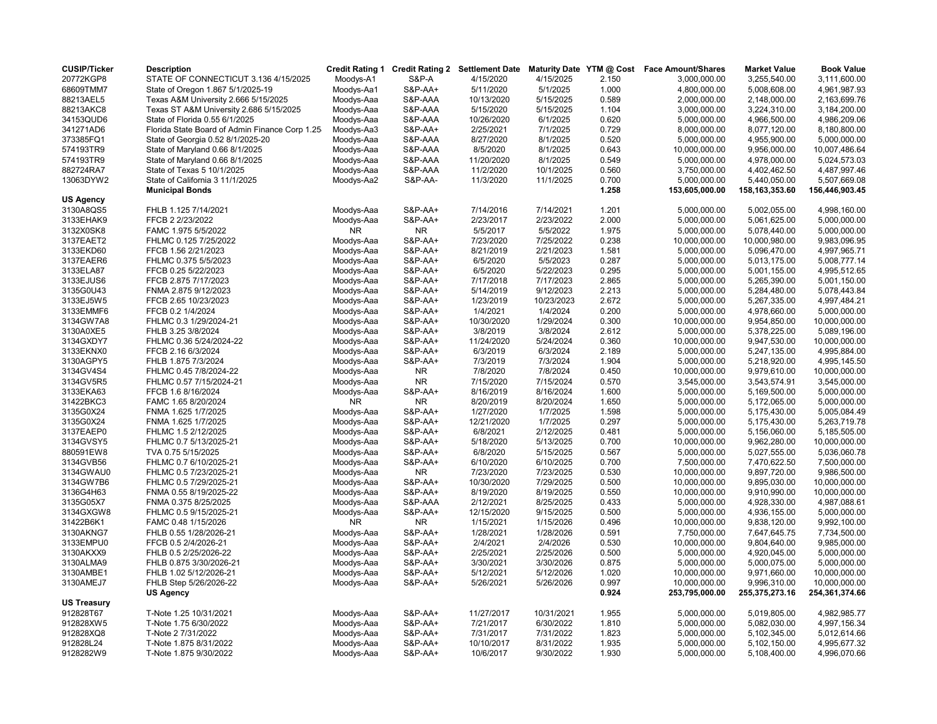| <b>CUSIP/Ticker</b> | <b>Description</b>                             | <b>Credit Rating 1</b> |                    | <b>Credit Rating 2 Settlement Date</b> |            |                | Maturity Date YTM @ Cost Face Amount/Shares | <b>Market Value</b> | <b>Book Value</b> |
|---------------------|------------------------------------------------|------------------------|--------------------|----------------------------------------|------------|----------------|---------------------------------------------|---------------------|-------------------|
| 20772KGP8           | STATE OF CONNECTICUT 3.136 4/15/2025           | Moodys-A1              | <b>S&amp;P-A</b>   | 4/15/2020                              | 4/15/2025  | 2.150          | 3,000,000.00                                | 3,255,540.00        | 3,111,600.00      |
| 68609TMM7           | State of Oregon 1.867 5/1/2025-19              | Moodys-Aa1             | <b>S&amp;P-AA+</b> | 5/11/2020                              | 5/1/2025   | 1.000          | 4,800,000.00                                | 5,008,608.00        | 4,961,987.93      |
| 88213AEL5           | Texas A&M University 2.666 5/15/2025           | Moodys-Aaa             | S&P-AAA            | 10/13/2020                             | 5/15/2025  | 0.589          | 2,000,000.00                                | 2,148,000.00        | 2,163,699.76      |
| 88213AKC8           | Texas ST A&M University 2.686 5/15/2025        | Moodys-Aaa             | S&P-AAA            | 5/15/2020                              | 5/15/2025  | 1.104          | 3,000,000.00                                | 3,224,310.00        | 3,184,200.00      |
| 34153QUD6           | State of Florida 0.55 6/1/2025                 | Moodys-Aaa             | S&P-AAA            | 10/26/2020                             | 6/1/2025   | 0.620          | 5,000,000.00                                | 4,966,500.00        | 4,986,209.06      |
| 341271AD6           | Florida State Board of Admin Finance Corp 1.25 | Moodys-Aa3             | <b>S&amp;P-AA+</b> | 2/25/2021                              | 7/1/2025   | 0.729          | 8,000,000.00                                | 8,077,120.00        | 8,180,800.00      |
| 373385FQ1           | State of Georgia 0.52 8/1/2025-20              | Moodys-Aaa             | S&P-AAA            | 8/27/2020                              | 8/1/2025   | 0.520          | 5,000,000.00                                | 4,955,900.00        | 5,000,000.00      |
| 574193TR9           | State of Maryland 0.66 8/1/2025                | Moodys-Aaa             | S&P-AAA            | 8/5/2020                               | 8/1/2025   | 0.643          | 10,000,000.00                               | 9,956,000.00        | 10,007,486.64     |
| 574193TR9           | State of Maryland 0.66 8/1/2025                | Moodys-Aaa             | S&P-AAA            | 11/20/2020                             | 8/1/2025   | 0.549          | 5,000,000.00                                | 4,978,000.00        | 5,024,573.03      |
| 882724RA7           | State of Texas 5 10/1/2025                     | Moodys-Aaa             | S&P-AAA            | 11/2/2020                              | 10/1/2025  | 0.560          | 3,750,000.00                                | 4,402,462.50        | 4,487,997.46      |
| 13063DYW2           | State of California 3 11/1/2025                | Moodys-Aa2             | S&P-AA-            | 11/3/2020                              | 11/1/2025  | 0.700          | 5,000,000.00                                | 5,440,050.00        | 5,507,669.08      |
|                     | <b>Municipal Bonds</b>                         |                        |                    |                                        |            | 1.258          | 153,605,000.00                              | 158, 163, 353.60    | 156,446,903.45    |
| US Agency           |                                                |                        |                    |                                        |            |                |                                             |                     |                   |
| 3130A8QS5           | FHLB 1.125 7/14/2021                           | Moodys-Aaa             | <b>S&amp;P-AA+</b> | 7/14/2016                              | 7/14/2021  | 1.201          | 5,000,000.00                                | 5,002,055.00        | 4,998,160.00      |
| 3133EHAK9           | FFCB 2 2/23/2022                               | Moodys-Aaa             | <b>S&amp;P-AA+</b> | 2/23/2017                              | 2/23/2022  | 2.000          | 5,000,000.00                                | 5,061,625.00        | 5,000,000.00      |
| 3132X0SK8           | FAMC 1.975 5/5/2022                            | <b>NR</b>              | NR.                | 5/5/2017                               | 5/5/2022   | 1.975          | 5,000,000.00                                | 5,078,440.00        | 5,000,000.00      |
| 3137EAET2           | FHLMC 0.125 7/25/2022                          | Moodys-Aaa             | <b>S&amp;P-AA+</b> | 7/23/2020                              | 7/25/2022  | 0.238          | 10,000,000.00                               | 10,000,980.00       | 9,983,096.95      |
| 3133EKD60           | FFCB 1.56 2/21/2023                            | Moodys-Aaa             | <b>S&amp;P-AA+</b> | 8/21/2019                              | 2/21/2023  | 1.581          | 5,000,000.00                                | 5,096,470.00        | 4,997,965.71      |
| 3137EAER6           | FHLMC 0.375 5/5/2023                           | Moodys-Aaa             | <b>S&amp;P-AA+</b> | 6/5/2020                               | 5/5/2023   | 0.287          | 5,000,000.00                                | 5,013,175.00        | 5,008,777.14      |
| 3133ELA87           | FFCB 0.25 5/22/2023                            | Moodys-Aaa             | <b>S&amp;P-AA+</b> | 6/5/2020                               | 5/22/2023  | 0.295          | 5,000,000.00                                | 5,001,155.00        | 4,995,512.65      |
| 3133EJUS6           | FFCB 2.875 7/17/2023                           | Moodys-Aaa             | <b>S&amp;P-AA+</b> | 7/17/2018                              | 7/17/2023  | 2.865          | 5,000,000.00                                | 5,265,390.00        | 5,001,150.00      |
| 3135G0U43           | FNMA 2.875 9/12/2023                           | Moodys-Aaa             | <b>S&amp;P-AA+</b> | 5/14/2019                              | 9/12/2023  | 2.213          | 5,000,000.00                                | 5,284,480.00        | 5,078,443.84      |
| 3133EJ5W5           | FFCB 2.65 10/23/2023                           | Moodys-Aaa             | <b>S&amp;P-AA+</b> | 1/23/2019                              | 10/23/2023 | 2.672          | 5,000,000.00                                | 5,267,335.00        | 4,997,484.21      |
| 3133EMMF6           | FFCB 0.2 1/4/2024                              | Moodys-Aaa             | <b>S&amp;P-AA+</b> | 1/4/2021                               | 1/4/2024   | 0.200          | 5,000,000.00                                | 4,978,660.00        | 5,000,000.00      |
| 3134GW7A8           | FHLMC 0.3 1/29/2024-21                         | Moodys-Aaa             | <b>S&amp;P-AA+</b> | 10/30/2020                             | 1/29/2024  | 0.300          | 10,000,000.00                               | 9,954,850.00        | 10,000,000.00     |
| 3130A0XE5           | FHLB 3.25 3/8/2024                             | Moodys-Aaa             | <b>S&amp;P-AA+</b> | 3/8/2019                               | 3/8/2024   | 2.612          | 5,000,000.00                                | 5,378,225.00        | 5,089,196.00      |
| 3134GXDY7           | FHLMC 0.36 5/24/2024-22                        | Moodys-Aaa             | <b>S&amp;P-AA+</b> | 11/24/2020                             | 5/24/2024  | 0.360          | 10,000,000.00                               | 9,947,530.00        | 10,000,000.00     |
| 3133EKNX0           | FFCB 2.16 6/3/2024                             | Moodys-Aaa             | <b>S&amp;P-AA+</b> | 6/3/2019                               | 6/3/2024   | 2.189          | 5,000,000.00                                | 5,247,135.00        | 4,995,884.00      |
| 3130AGPY5           | FHLB 1.875 7/3/2024                            | Moodys-Aaa             | <b>S&amp;P-AA+</b> | 7/3/2019                               | 7/3/2024   | 1.904          | 5,000,000.00                                | 5,218,920.00        | 4,995,145.50      |
| 3134GV4S4           | FHLMC 0.45 7/8/2024-22                         | Moodys-Aaa             | <b>NR</b>          | 7/8/2020                               | 7/8/2024   | 0.450          | 10,000,000.00                               | 9,979,610.00        | 10,000,000.00     |
| 3134GV5R5           | FHLMC 0.57 7/15/2024-21                        | Moodys-Aaa             | NR.                | 7/15/2020                              | 7/15/2024  | 0.570          | 3,545,000.00                                | 3,543,574.91        | 3,545,000.00      |
| 3133EKA63           | FFCB 1.6 8/16/2024                             | Moodys-Aaa             | <b>S&amp;P-AA+</b> | 8/16/2019                              | 8/16/2024  | 1.600          | 5,000,000.00                                | 5,169,500.00        | 5,000,000.00      |
| 31422BKC3           | FAMC 1.65 8/20/2024                            | <b>NR</b>              | <b>NR</b>          | 8/20/2019                              | 8/20/2024  | 1.650          | 5,000,000.00                                | 5,172,065.00        | 5,000,000.00      |
| 3135G0X24           | FNMA 1.625 1/7/2025                            | Moodys-Aaa             | <b>S&amp;P-AA+</b> | 1/27/2020                              | 1/7/2025   | 1.598          | 5,000,000.00                                | 5,175,430.00        | 5,005,084.49      |
| 3135G0X24           | FNMA 1.625 1/7/2025                            | Moodys-Aaa             | <b>S&amp;P-AA+</b> | 12/21/2020                             | 1/7/2025   | 0.297          | 5,000,000.00                                | 5,175,430.00        | 5,263,719.78      |
| 3137EAEP0           | FHLMC 1.5 2/12/2025                            | Moodys-Aaa             | <b>S&amp;P-AA+</b> | 6/8/2021                               | 2/12/2025  | 0.481          | 5,000,000.00                                | 5,156,060.00        | 5,185,505.00      |
| 3134GVSY5           | FHLMC 0.7 5/13/2025-21                         | Moodys-Aaa             | S&P-AA+            | 5/18/2020                              | 5/13/2025  | 0.700          | 10,000,000.00                               | 9,962,280.00        | 10,000,000.00     |
| 880591EW8           | TVA 0.75 5/15/2025                             | Moodys-Aaa             | S&P-AA+            | 6/8/2020                               | 5/15/2025  | 0.567          | 5,000,000.00                                | 5,027,555.00        | 5,036,060.78      |
| 3134GVB56           | FHLMC 0.7 6/10/2025-21                         | Moodys-Aaa             | <b>S&amp;P-AA+</b> | 6/10/2020                              | 6/10/2025  | 0.700          | 7,500,000.00                                | 7,470,622.50        | 7,500,000.00      |
|                     |                                                |                        |                    |                                        | 7/23/2025  |                |                                             |                     |                   |
| 3134GWAU0           | FHLMC 0.5 7/23/2025-21                         | Moodys-Aaa             | NR                 | 7/23/2020                              |            | 0.530          | 10,000,000.00                               | 9,897,720.00        | 9,986,500.00      |
| 3134GW7B6           | FHLMC 0.5 7/29/2025-21                         | Moodys-Aaa             | <b>S&amp;P-AA+</b> | 10/30/2020                             | 7/29/2025  | 0.500<br>0.550 | 10,000,000.00                               | 9,895,030.00        | 10,000,000.00     |
| 3136G4H63           | FNMA 0.55 8/19/2025-22                         | Moodys-Aaa             | <b>S&amp;P-AA+</b> | 8/19/2020                              | 8/19/2025  |                | 10,000,000.00                               | 9,910,990.00        | 10,000,000.00     |
| 3135G05X7           | FNMA 0.375 8/25/2025                           | Moodys-Aaa             | S&P-AAA            | 2/12/2021                              | 8/25/2025  | 0.433          | 5,000,000.00                                | 4,928,330.00        | 4,987,088.61      |
| 3134GXGW8           | FHLMC 0.5 9/15/2025-21                         | Moodys-Aaa             | <b>S&amp;P-AA+</b> | 12/15/2020                             | 9/15/2025  | 0.500          | 5,000,000.00                                | 4,936,155.00        | 5,000,000.00      |
| 31422B6K1           | FAMC 0.48 1/15/2026                            | <b>NR</b>              | NR.                | 1/15/2021                              | 1/15/2026  | 0.496          | 10,000,000.00                               | 9,838,120.00        | 9,992,100.00      |
| 3130AKNG7           | FHLB 0.55 1/28/2026-21                         | Moodys-Aaa             | <b>S&amp;P-AA+</b> | 1/28/2021                              | 1/28/2026  | 0.591          | 7,750,000.00                                | 7,647,645.75        | 7,734,500.00      |
| 3133EMPU0           | FFCB 0.5 2/4/2026-21                           | Moodys-Aaa             | <b>S&amp;P-AA+</b> | 2/4/2021                               | 2/4/2026   | 0.530          | 10,000,000.00                               | 9,804,640.00        | 9,985,000.00      |
| 3130AKXX9           | FHLB 0.5 2/25/2026-22                          | Moodys-Aaa             | <b>S&amp;P-AA+</b> | 2/25/2021                              | 2/25/2026  | 0.500          | 5,000,000.00                                | 4,920,045.00        | 5,000,000.00      |
| 3130ALMA9           | FHLB 0.875 3/30/2026-21                        | Moodys-Aaa             | S&P-AA+            | 3/30/2021                              | 3/30/2026  | 0.875          | 5,000,000.00                                | 5,000,075.00        | 5,000,000.00      |
| 3130AMBE1           | FHLB 1.02 5/12/2026-21                         | Moodys-Aaa             | <b>S&amp;P-AA+</b> | 5/12/2021                              | 5/12/2026  | 1.020          | 10,000,000.00                               | 9,971,660.00        | 10,000,000.00     |
| 3130AMEJ7           | FHLB Step 5/26/2026-22                         | Moodys-Aaa             | <b>S&amp;P-AA+</b> | 5/26/2021                              | 5/26/2026  | 0.997          | 10,000,000.00                               | 9,996,310.00        | 10,000,000.00     |
| <b>US Treasury</b>  | <b>US Agency</b>                               |                        |                    |                                        |            | 0.924          | 253,795,000.00                              | 255,375,273.16      | 254,361,374.66    |
| 912828T67           | T-Note 1.25 10/31/2021                         | Moodys-Aaa             | S&P-AA+            | 11/27/2017                             | 10/31/2021 | 1.955          | 5,000,000.00                                | 5,019,805.00        | 4,982,985.77      |
| 912828XW5           | T-Note 1.75 6/30/2022                          | Moodys-Aaa             | <b>S&amp;P-AA+</b> | 7/21/2017                              | 6/30/2022  | 1.810          | 5,000,000.00                                | 5,082,030.00        | 4,997,156.34      |
| 912828XQ8           | T-Note 2 7/31/2022                             | Moodys-Aaa             | <b>S&amp;P-AA+</b> | 7/31/2017                              | 7/31/2022  | 1.823          | 5,000,000.00                                | 5,102,345.00        | 5,012,614.66      |
| 912828L24           | T-Note 1.875 8/31/2022                         | Moodys-Aaa             | <b>S&amp;P-AA+</b> | 10/10/2017                             | 8/31/2022  | 1.935          | 5,000,000.00                                | 5,102,150.00        | 4,995,677.32      |
|                     |                                                |                        |                    |                                        |            |                |                                             |                     |                   |
| 9128282W9           | T-Note 1.875 9/30/2022                         | Moodys-Aaa             | <b>S&amp;P-AA+</b> | 10/6/2017                              | 9/30/2022  | 1.930          | 5,000,000.00                                | 5,108,400.00        | 4,996,070.66      |